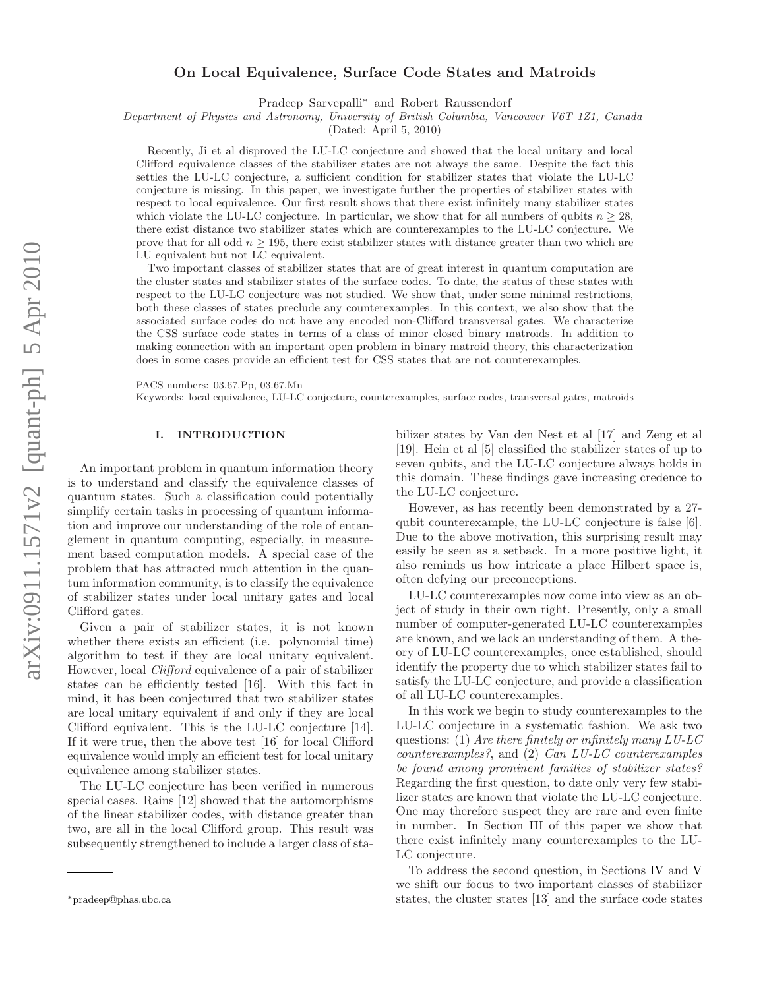# On Local Equivalence, Surface Code States and Matroids

Pradeep Sarvepalli<sup>∗</sup> and Robert Raussendorf

Department of Physics and Astronomy, University of British Columbia, Vancouver V6T 1Z1, Canada

(Dated: April 5, 2010)

Recently, Ji et al disproved the LU-LC conjecture and showed that the local unitary and local Clifford equivalence classes of the stabilizer states are not always the same. Despite the fact this settles the LU-LC conjecture, a sufficient condition for stabilizer states that violate the LU-LC conjecture is missing. In this paper, we investigate further the properties of stabilizer states with respect to local equivalence. Our first result shows that there exist infinitely many stabilizer states which violate the LU-LC conjecture. In particular, we show that for all numbers of qubits  $n \geq 28$ , there exist distance two stabilizer states which are counterexamples to the LU-LC conjecture. We prove that for all odd  $n \geq 195$ , there exist stabilizer states with distance greater than two which are LU equivalent but not LC equivalent.

Two important classes of stabilizer states that are of great interest in quantum computation are the cluster states and stabilizer states of the surface codes. To date, the status of these states with respect to the LU-LC conjecture was not studied. We show that, under some minimal restrictions, both these classes of states preclude any counterexamples. In this context, we also show that the associated surface codes do not have any encoded non-Clifford transversal gates. We characterize the CSS surface code states in terms of a class of minor closed binary matroids. In addition to making connection with an important open problem in binary matroid theory, this characterization does in some cases provide an efficient test for CSS states that are not counterexamples.

PACS numbers: 03.67.Pp, 03.67.Mn

Keywords: local equivalence, LU-LC conjecture, counterexamples, surface codes, transversal gates, matroids

## I. INTRODUCTION

An important problem in quantum information theory is to understand and classify the equivalence classes of quantum states. Such a classification could potentially simplify certain tasks in processing of quantum information and improve our understanding of the role of entanglement in quantum computing, especially, in measurement based computation models. A special case of the problem that has attracted much attention in the quantum information community, is to classify the equivalence of stabilizer states under local unitary gates and local Clifford gates.

Given a pair of stabilizer states, it is not known whether there exists an efficient (i.e. polynomial time) algorithm to test if they are local unitary equivalent. However, local Clifford equivalence of a pair of stabilizer states can be efficiently tested [16]. With this fact in mind, it has been conjectured that two stabilizer states are local unitary equivalent if and only if they are local Clifford equivalent. This is the LU-LC conjecture [14]. If it were true, then the above test [16] for local Clifford equivalence would imply an efficient test for local unitary equivalence among stabilizer states.

The LU-LC conjecture has been verified in numerous special cases. Rains [12] showed that the automorphisms of the linear stabilizer codes, with distance greater than two, are all in the local Clifford group. This result was subsequently strengthened to include a larger class of sta-

bilizer states by Van den Nest et al [17] and Zeng et al [19]. Hein et al [5] classified the stabilizer states of up to seven qubits, and the LU-LC conjecture always holds in this domain. These findings gave increasing credence to the LU-LC conjecture.

However, as has recently been demonstrated by a 27 qubit counterexample, the LU-LC conjecture is false [6]. Due to the above motivation, this surprising result may easily be seen as a setback. In a more positive light, it also reminds us how intricate a place Hilbert space is, often defying our preconceptions.

LU-LC counterexamples now come into view as an object of study in their own right. Presently, only a small number of computer-generated LU-LC counterexamples are known, and we lack an understanding of them. A theory of LU-LC counterexamples, once established, should identify the property due to which stabilizer states fail to satisfy the LU-LC conjecture, and provide a classification of all LU-LC counterexamples.

In this work we begin to study counterexamples to the LU-LC conjecture in a systematic fashion. We ask two questions: (1) Are there finitely or infinitely many  $LULC$ counterexamples?, and (2) Can LU-LC counterexamples be found among prominent families of stabilizer states? Regarding the first question, to date only very few stabilizer states are known that violate the LU-LC conjecture. One may therefore suspect they are rare and even finite in number. In Section III of this paper we show that there exist infinitely many counterexamples to the LU-LC conjecture.

To address the second question, in Sections IV and V we shift our focus to two important classes of stabilizer states, the cluster states [13] and the surface code states

<sup>∗</sup>pradeep@phas.ubc.ca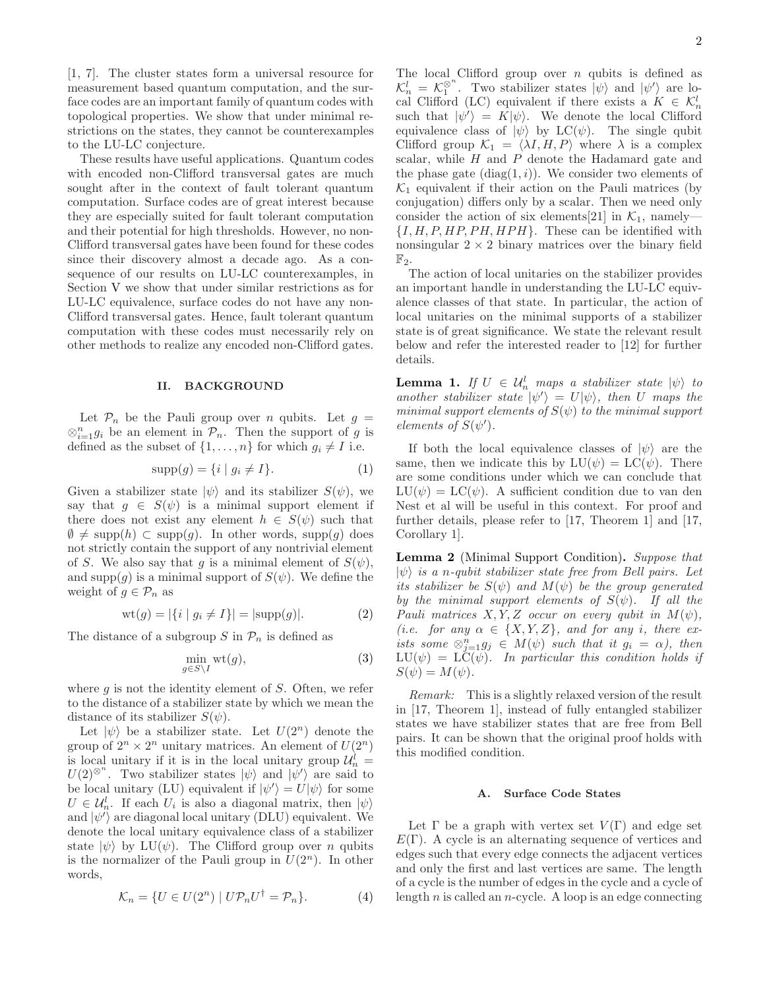[1, 7]. The cluster states form a universal resource for measurement based quantum computation, and the surface codes are an important family of quantum codes with topological properties. We show that under minimal restrictions on the states, they cannot be counterexamples to the LU-LC conjecture.

These results have useful applications. Quantum codes with encoded non-Clifford transversal gates are much sought after in the context of fault tolerant quantum computation. Surface codes are of great interest because they are especially suited for fault tolerant computation and their potential for high thresholds. However, no non-Clifford transversal gates have been found for these codes since their discovery almost a decade ago. As a consequence of our results on LU-LC counterexamples, in Section V we show that under similar restrictions as for LU-LC equivalence, surface codes do not have any non-Clifford transversal gates. Hence, fault tolerant quantum computation with these codes must necessarily rely on other methods to realize any encoded non-Clifford gates.

### II. BACKGROUND

Let  $\mathcal{P}_n$  be the Pauli group over n qubits. Let  $g =$  $\otimes_{i=1}^n g_i$  be an element in  $\mathcal{P}_n$ . Then the support of g is defined as the subset of  $\{1, \ldots, n\}$  for which  $g_i \neq I$  i.e.

$$
supp(g) = \{i \mid g_i \neq I\}.
$$
 (1)

Given a stabilizer state  $|\psi\rangle$  and its stabilizer  $S(\psi)$ , we say that  $g \in S(\psi)$  is a minimal support element if there does not exist any element  $h \in S(\psi)$  such that  $\emptyset \neq \text{supp}(h) \subset \text{supp}(g)$ . In other words, supp $(g)$  does not strictly contain the support of any nontrivial element of S. We also say that g is a minimal element of  $S(\psi)$ , and supp $(q)$  is a minimal support of  $S(\psi)$ . We define the weight of  $g \in \mathcal{P}_n$  as

$$
wt(g) = |\{i \mid g_i \neq I\}| = |\text{supp}(g)|.
$$
 (2)

The distance of a subgroup S in  $\mathcal{P}_n$  is defined as

 $\epsilon$ 

$$
\min_{\substack{i \in S \setminus I}} \text{wt}(g),\tag{3}
$$

where  $q$  is not the identity element of  $S$ . Often, we refer to the distance of a stabilizer state by which we mean the distance of its stabilizer  $S(\psi)$ .

Let  $|\psi\rangle$  be a stabilizer state. Let  $U(2^n)$  denote the group of  $2^n \times 2^n$  unitary matrices. An element of  $U(2^n)$ is local unitary if it is in the local unitary group  $\mathcal{U}_n^l =$  $U(2)^{\otimes^n}$ . Two stabilizer states  $|\psi\rangle$  and  $|\psi'\rangle$  are said to be local unitary (LU) equivalent if  $|\psi'\rangle = U|\psi\rangle$  for some  $U \in \mathcal{U}_n^l$ . If each  $U_i$  is also a diagonal matrix, then  $|\psi\rangle$ and  $|\psi'\rangle$  are diagonal local unitary (DLU) equivalent. We denote the local unitary equivalence class of a stabilizer state  $|\psi\rangle$  by LU( $\psi$ ). The Clifford group over n qubits is the normalizer of the Pauli group in  $U(2^n)$ . In other words,

$$
\mathcal{K}_n = \{ U \in U(2^n) \mid U\mathcal{P}_n U^\dagger = \mathcal{P}_n \}. \tag{4}
$$

The local Clifford group over  $n$  qubits is defined as  $\mathcal{K}_n^l = \mathcal{K}_1^{\otimes^n}$ . Two stabilizer states  $|\psi\rangle$  and  $|\psi'\rangle$  are local Clifford (LC) equivalent if there exists a  $K \in \mathcal{K}_n^l$ such that  $|\psi'\rangle = K|\psi\rangle$ . We denote the local Clifford equivalence class of  $|\psi\rangle$  by LC( $\psi$ ). The single qubit Clifford group  $\mathcal{K}_1 = \langle \lambda I, H, P \rangle$  where  $\lambda$  is a complex scalar, while  $H$  and  $P$  denote the Hadamard gate and the phase gate  $(\text{diag}(1, i))$ . We consider two elements of  $\mathcal{K}_1$  equivalent if their action on the Pauli matrices (by conjugation) differs only by a scalar. Then we need only consider the action of six elements[21] in  $\mathcal{K}_1$ , namely—  $\{I, H, P, HP, PH, HPH\}$ . These can be identified with nonsingular  $2 \times 2$  binary matrices over the binary field  $\mathbb{F}_2$ .

The action of local unitaries on the stabilizer provides an important handle in understanding the LU-LC equivalence classes of that state. In particular, the action of local unitaries on the minimal supports of a stabilizer state is of great significance. We state the relevant result below and refer the interested reader to [12] for further details.

**Lemma 1.** If  $U \in \mathcal{U}_n^l$  maps a stabilizer state  $|\psi\rangle$  to another stabilizer state  $|\psi'\rangle = U|\psi\rangle$ , then U maps the minimal support elements of  $S(\psi)$  to the minimal support elements of  $S(\psi')$ .

If both the local equivalence classes of  $|\psi\rangle$  are the same, then we indicate this by  $LU(\psi) = LC(\psi)$ . There are some conditions under which we can conclude that  $LU(\psi) = LC(\psi)$ . A sufficient condition due to van den Nest et al will be useful in this context. For proof and further details, please refer to [17, Theorem 1] and [17, Corollary 1].

Lemma 2 (Minimal Support Condition). Suppose that  $|\psi\rangle$  is a n-qubit stabilizer state free from Bell pairs. Let its stabilizer be  $S(\psi)$  and  $M(\psi)$  be the group generated by the minimal support elements of  $S(\psi)$ . If all the Pauli matrices  $X, Y, Z$  occur on every qubit in  $M(\psi)$ , (i.e. for any  $\alpha \in \{X, Y, Z\}$ , and for any i, there exists some  $\otimes_{j=1}^n g_j \in M(\psi)$  such that it  $g_i = \alpha$ ), then  $LU(\psi) = LC(\psi)$ . In particular this condition holds if  $S(\psi) = M(\psi).$ 

Remark: This is a slightly relaxed version of the result in [17, Theorem 1], instead of fully entangled stabilizer states we have stabilizer states that are free from Bell pairs. It can be shown that the original proof holds with this modified condition.

#### A. Surface Code States

Let  $\Gamma$  be a graph with vertex set  $V(\Gamma)$  and edge set  $E(\Gamma)$ . A cycle is an alternating sequence of vertices and edges such that every edge connects the adjacent vertices and only the first and last vertices are same. The length of a cycle is the number of edges in the cycle and a cycle of length  $n$  is called an  $n$ -cycle. A loop is an edge connecting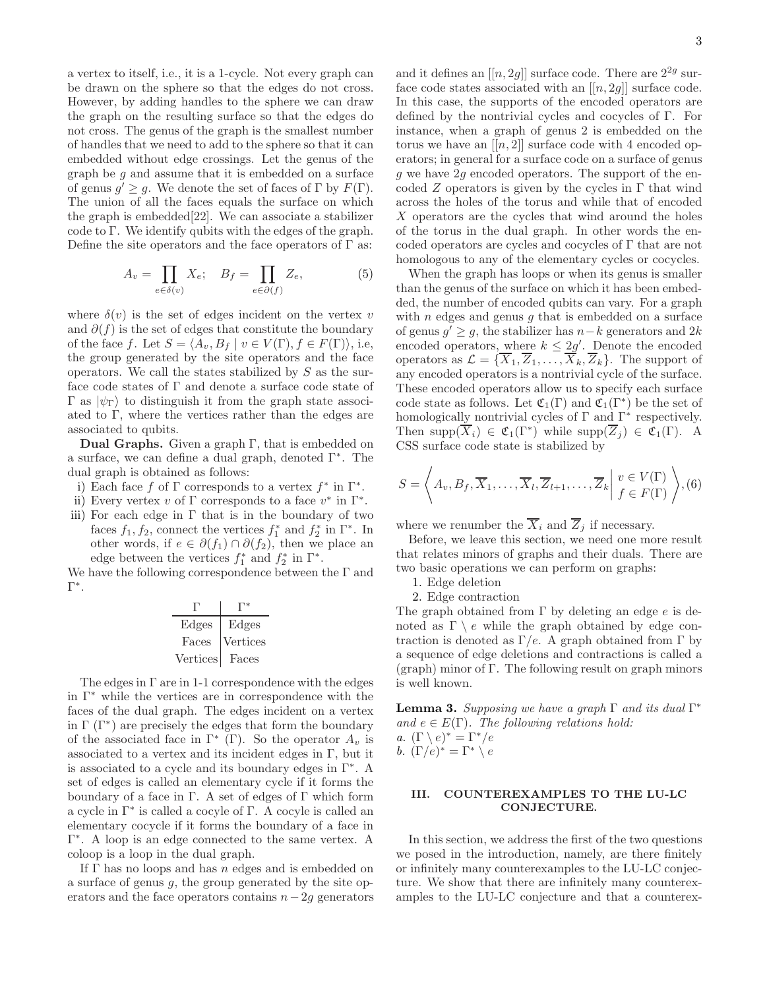a vertex to itself, i.e., it is a 1-cycle. Not every graph can be drawn on the sphere so that the edges do not cross. However, by adding handles to the sphere we can draw the graph on the resulting surface so that the edges do not cross. The genus of the graph is the smallest number of handles that we need to add to the sphere so that it can embedded without edge crossings. Let the genus of the graph be g and assume that it is embedded on a surface of genus  $g' \geq g$ . We denote the set of faces of  $\Gamma$  by  $F(\Gamma)$ . The union of all the faces equals the surface on which the graph is embedded[22]. We can associate a stabilizer code to Γ. We identify qubits with the edges of the graph. Define the site operators and the face operators of  $\Gamma$  as:

$$
A_v = \prod_{e \in \delta(v)} X_e; \quad B_f = \prod_{e \in \partial(f)} Z_e,\tag{5}
$$

where  $\delta(v)$  is the set of edges incident on the vertex v and  $\partial(f)$  is the set of edges that constitute the boundary of the face f. Let  $S = \langle A_v, B_f | v \in V(\Gamma), f \in F(\Gamma) \rangle$ , i.e, the group generated by the site operators and the face operators. We call the states stabilized by S as the surface code states of Γ and denote a surface code state of  $Γ$  as  $|\psi_{Γ}\rangle$  to distinguish it from the graph state associated to  $\Gamma$ , where the vertices rather than the edges are associated to qubits.

**Dual Graphs.** Given a graph  $\Gamma$ , that is embedded on a surface, we can define a dual graph, denoted Γ<sup>∗</sup> . The dual graph is obtained as follows:

i) Each face f of  $\Gamma$  corresponds to a vertex  $f^*$  in  $\Gamma^*$ .

- ii) Every vertex v of  $\Gamma$  corresponds to a face  $v^*$  in  $\Gamma^*$ .
- iii) For each edge in  $\Gamma$  that is in the boundary of two faces  $f_1, f_2$ , connect the vertices  $f_1^*$  and  $f_2^*$  in  $\Gamma^*$ . In other words, if  $e \in \partial(f_1) \cap \partial(f_2)$ , then we place an edge between the vertices  $f_1^*$  and  $f_2^*$  in  $\Gamma^*$ .

We have the following correspondence between the Γ and Γ ∗ .

| Edges           | Edges    |
|-----------------|----------|
| Faces           | Vertices |
| <b>Vertices</b> | Faces    |

The edges in  $\Gamma$  are in 1-1 correspondence with the edges in Γ<sup>∗</sup> while the vertices are in correspondence with the faces of the dual graph. The edges incident on a vertex in  $\Gamma(\Gamma^*)$  are precisely the edges that form the boundary of the associated face in  $\Gamma^*$  (Γ). So the operator  $A_v$  is associated to a vertex and its incident edges in  $\Gamma$ , but it is associated to a cycle and its boundary edges in Γ<sup>∗</sup> . A set of edges is called an elementary cycle if it forms the boundary of a face in  $\Gamma$ . A set of edges of  $\Gamma$  which form a cycle in Γ<sup>∗</sup> is called a cocyle of Γ. A cocyle is called an elementary cocycle if it forms the boundary of a face in Γ ∗ . A loop is an edge connected to the same vertex. A coloop is a loop in the dual graph.

If  $\Gamma$  has no loops and has n edges and is embedded on a surface of genus  $q$ , the group generated by the site operators and the face operators contains  $n-2g$  generators

and it defines an  $[[n, 2g]]$  surface code. There are  $2^{2g}$  surface code states associated with an  $[[n, 2g]]$  surface code. In this case, the supports of the encoded operators are defined by the nontrivial cycles and cocycles of Γ. For instance, when a graph of genus 2 is embedded on the torus we have an  $[[n, 2]]$  surface code with 4 encoded operators; in general for a surface code on a surface of genus g we have  $2g$  encoded operators. The support of the encoded Z operators is given by the cycles in Γ that wind across the holes of the torus and while that of encoded X operators are the cycles that wind around the holes of the torus in the dual graph. In other words the encoded operators are cycles and cocycles of Γ that are not homologous to any of the elementary cycles or cocycles.

When the graph has loops or when its genus is smaller than the genus of the surface on which it has been embedded, the number of encoded qubits can vary. For a graph with  $n$  edges and genus  $g$  that is embedded on a surface of genus  $g' \geq g$ , the stabilizer has  $n-k$  generators and 2k encoded operators, where  $k \leq 2g'$ . Denote the encoded operators as  $\mathcal{L} = {\overline{X}_1, \overline{Z}_1, \ldots, \overline{X}_k, \overline{Z}_k}$ . The support of any encoded operators is a nontrivial cycle of the surface. These encoded operators allow us to specify each surface code state as follows. Let  $\mathfrak{C}_1(\Gamma)$  and  $\mathfrak{C}_1(\Gamma^*)$  be the set of homologically nontrivial cycles of  $\Gamma$  and  $\Gamma^*$  respectively. Then supp $(\overline{X}_i) \in \mathfrak{C}_1(\Gamma^*)$  while supp $(\overline{Z}_j) \in \mathfrak{C}_1(\Gamma)$ . A CSS surface code state is stabilized by

$$
S = \left\langle A_v, B_f, \overline{X}_1, \dots, \overline{X}_l, \overline{Z}_{l+1}, \dots, \overline{Z}_k \middle| \begin{array}{l} v \in V(\Gamma) \\ f \in F(\Gamma) \end{array} \right\rangle, (6)
$$

where we renumber the  $\overline{X}_i$  and  $\overline{Z}_j$  if necessary.

Before, we leave this section, we need one more result that relates minors of graphs and their duals. There are two basic operations we can perform on graphs:

- 1. Edge deletion
- 2. Edge contraction

The graph obtained from  $\Gamma$  by deleting an edge e is denoted as  $\Gamma \setminus e$  while the graph obtained by edge contraction is denoted as Γ/e. A graph obtained from Γ by a sequence of edge deletions and contractions is called a (graph) minor of Γ. The following result on graph minors is well known.

**Lemma 3.** Supposing we have a graph  $\Gamma$  and its dual  $\Gamma^*$ and  $e \in E(\Gamma)$ . The following relations hold: a.  $(\Gamma \setminus e)^* = \Gamma^* / e$ b.  $(\Gamma/e)^* = \Gamma^* \setminus e$ 

## III. COUNTEREXAMPLES TO THE LU-LC CONJECTURE.

In this section, we address the first of the two questions we posed in the introduction, namely, are there finitely or infinitely many counterexamples to the LU-LC conjecture. We show that there are infinitely many counterexamples to the LU-LC conjecture and that a counterex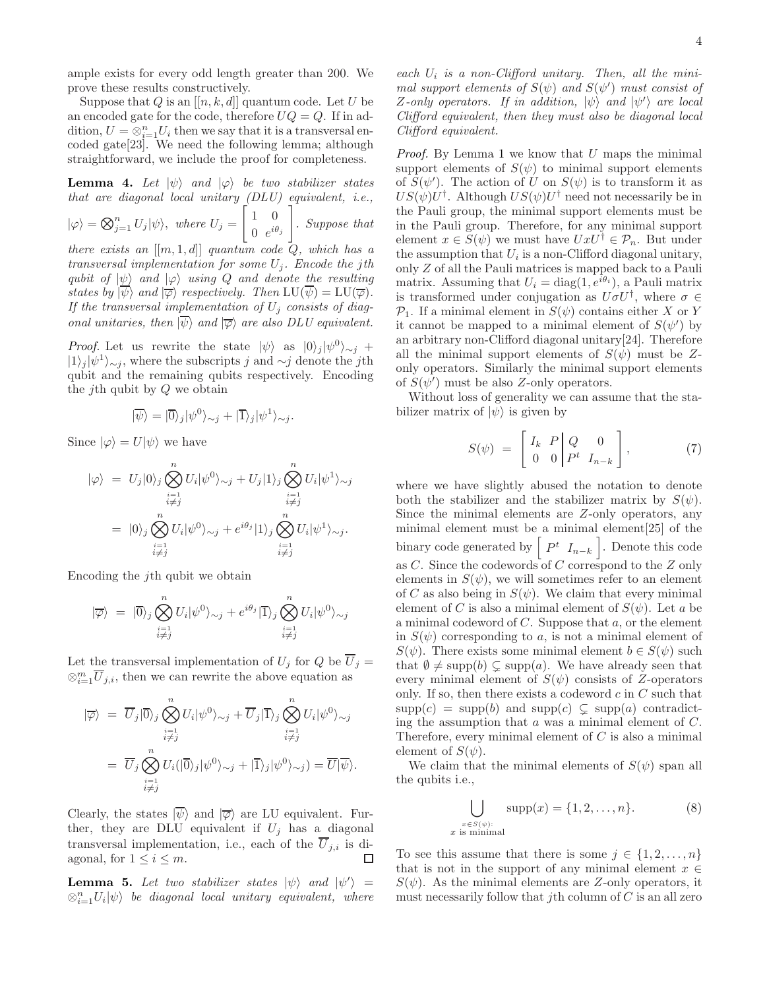ample exists for every odd length greater than 200. We prove these results constructively.

Suppose that Q is an  $[[n, k, d]]$  quantum code. Let U be an encoded gate for the code, therefore  $UQ = Q$ . If in addition,  $U = \otimes_{i=1}^n U_i$  then we say that it is a transversal encoded gate[23]. We need the following lemma; although straightforward, we include the proof for completeness.

**Lemma 4.** Let  $|\psi\rangle$  and  $|\varphi\rangle$  be two stabilizer states that are diagonal local unitary (DLU) equivalent, i.e.,  $|\varphi\rangle = \bigotimes_{j=1}^{n} U_j |\psi\rangle$ , where  $U_j =$  $\begin{bmatrix} 1 & 0 \end{bmatrix}$ 0  $e^{i\theta_j}$ 1 . Suppose that

there exists an  $[[m, 1, d]]$  quantum code  $Q$ , which has a transversal implementation for some  $U_j$ . Encode the jth qubit of  $|\psi\rangle$  and  $|\varphi\rangle$  using Q and denote the resulting states by  $|\psi\rangle$  and  $|\overline{\varphi}\rangle$  respectively. Then  $LU(\psi) = LU(\overline{\varphi})$ . If the transversal implementation of  $U_j$  consists of diagonal unitaries, then  $|\overline{\psi}\rangle$  and  $|\overline{\varphi}\rangle$  are also DLU equivalent.

*Proof.* Let us rewrite the state  $|\psi\rangle$  as  $|0\rangle_j |\psi^0\rangle_{\sim j}$  +  $|1\rangle_j |\psi^1\rangle_{\sim j}$ , where the subscripts j and  $\sim j$  denote the jth qubit and the remaining qubits respectively. Encoding the *j*th qubit by  $Q$  we obtain

$$
|\overline{\psi}\rangle = |\overline{0}\rangle_j |\psi^0\rangle_{\sim j} + |\overline{1}\rangle_j |\psi^1\rangle_{\sim j}.
$$

Since  $|\varphi\rangle = U|\psi\rangle$  we have

$$
\begin{aligned} |\varphi\rangle \ &= U_j |0\rangle_j \bigotimes_{\substack{i=1 \\ i \neq j}}^n U_i |\psi^0\rangle_{\sim j} + U_j |1\rangle_j \bigotimes_{\substack{i=1 \\ i \neq j}}^n U_i |\psi^1\rangle_{\sim j} \\ &= |0\rangle_j \bigotimes_{\substack{i=1 \\ i \neq j}}^n U_i |\psi^0\rangle_{\sim j} + e^{i\theta_j} |1\rangle_j \bigotimes_{\substack{i=1 \\ i \neq j}}^n U_i |\psi^1\rangle_{\sim j}. \end{aligned}
$$

Encoding the jth qubit we obtain

$$
|\overline{\varphi}\rangle = |\overline{0}\rangle_j \bigotimes_{\substack{i=1\\i\neq j}}^n U_i |\psi^0\rangle_{\sim j} + e^{i\theta_j} |\overline{1}\rangle_j \bigotimes_{\substack{i=1\\i\neq j}}^n U_i |\psi^0\rangle_{\sim j}
$$

Let the transversal implementation of  $U_i$  for  $Q$  be  $\overline{U}_i =$  $\otimes_{i=1}^m \overline{U}_{j,i}$ , then we can rewrite the above equation as

$$
\begin{aligned}\n|\overline{\varphi}\rangle &= \overline{U}_j|\overline{0}\rangle_j \bigotimes_{\substack{i=1 \ i \neq j}}^n U_i|\psi^0\rangle_{\sim j} + \overline{U}_j|\overline{1}\rangle_j \bigotimes_{\substack{i=1 \ i \neq j}}^n U_i|\psi^0\rangle_{\sim j} \\
&= \overline{U}_j \bigotimes_{\substack{i=1 \ i \neq j}}^n U_i(|\overline{0}\rangle_j|\psi^0\rangle_{\sim j} + |\overline{1}\rangle_j|\psi^0\rangle_{\sim j}) = \overline{U}|\overline{\psi}\rangle.\n\end{aligned}
$$

Clearly, the states  $|\psi\rangle$  and  $|\overline{\varphi}\rangle$  are LU equivalent. Further, they are DLU equivalent if  $U_j$  has a diagonal transversal implementation, i.e., each of the  $\overline{U}_{j,i}$  is di-<br>agonal for  $1 \le i \le m$ agonal, for  $1 \leq i \leq m$ .

**Lemma 5.** Let two stabilizer states  $|\psi\rangle$  and  $|\psi'\rangle$  =  $\otimes_{i=1}^n U_i |\psi\rangle$  be diagonal local unitary equivalent, where each  $U_i$  is a non-Clifford unitary. Then, all the minimal support elements of  $S(\psi)$  and  $S(\psi')$  must consist of  $Z$ -only operators. If in addition,  $|\psi\rangle$  and  $|\psi'\rangle$  are local Clifford equivalent, then they must also be diagonal local Clifford equivalent.

*Proof.* By Lemma 1 we know that  $U$  maps the minimal support elements of  $S(\psi)$  to minimal support elements of  $S(\psi')$ . The action of U on  $S(\psi)$  is to transform it as  $US(\psi)U^{\dagger}$ . Although  $US(\psi)U^{\dagger}$  need not necessarily be in the Pauli group, the minimal support elements must be in the Pauli group. Therefore, for any minimal support element  $x \in S(\psi)$  we must have  $UxU^{\dagger} \in \mathcal{P}_n$ . But under the assumption that  $U_i$  is a non-Clifford diagonal unitary, only Z of all the Pauli matrices is mapped back to a Pauli matrix. Assuming that  $U_i = \text{diag}(1, e^{i\theta_i})$ , a Pauli matrix is transformed under conjugation as  $U\sigma U^{\dagger}$ , where  $\sigma \in$  $\mathcal{P}_1$ . If a minimal element in  $S(\psi)$  contains either X or Y it cannot be mapped to a minimal element of  $S(\psi')$  by an arbitrary non-Clifford diagonal unitary[24]. Therefore all the minimal support elements of  $S(\psi)$  must be Zonly operators. Similarly the minimal support elements of  $S(\psi')$  must be also Z-only operators.

Without loss of generality we can assume that the stabilizer matrix of  $|\psi\rangle$  is given by

$$
S(\psi) = \begin{bmatrix} I_k & P & Q & 0 \\ 0 & 0 & P^t & I_{n-k} \end{bmatrix}, \tag{7}
$$

where we have slightly abused the notation to denote both the stabilizer and the stabilizer matrix by  $S(\psi)$ . Since the minimal elements are Z-only operators, any minimal element must be a minimal element[25] of the binary code generated by  $\begin{bmatrix} P^t & I_{n-k} \end{bmatrix}$ . Denote this code as C. Since the codewords of C correspond to the Z only elements in  $S(\psi)$ , we will sometimes refer to an element of C as also being in  $S(\psi)$ . We claim that every minimal element of C is also a minimal element of  $S(\psi)$ . Let a be a minimal codeword of  $C$ . Suppose that  $a$ , or the element in  $S(\psi)$  corresponding to a, is not a minimal element of  $S(\psi)$ . There exists some minimal element  $b \in S(\psi)$  such that  $\emptyset \neq \text{supp}(b) \subsetneq \text{supp}(a)$ . We have already seen that every minimal element of  $S(\psi)$  consists of Z-operators only. If so, then there exists a codeword  $c$  in  $C$  such that  $\text{supp}(c) = \text{supp}(b)$  and  $\text{supp}(c) \subsetneq \text{supp}(a)$  contradicting the assumption that  $a$  was a minimal element of  $C$ . Therefore, every minimal element of  $C$  is also a minimal element of  $S(\psi)$ .

We claim that the minimal elements of  $S(\psi)$  span all the qubits i.e.,

$$
\bigcup_{\substack{x \in S(\psi):\\x \text{ is minimal}}} \text{supp}(x) = \{1, 2, \dots, n\}.
$$
 (8)

To see this assume that there is some  $j \in \{1, 2, ..., n\}$ that is not in the support of any minimal element  $x \in$  $S(\psi)$ . As the minimal elements are Z-only operators, it must necessarily follow that *i*th column of  $C$  is an all zero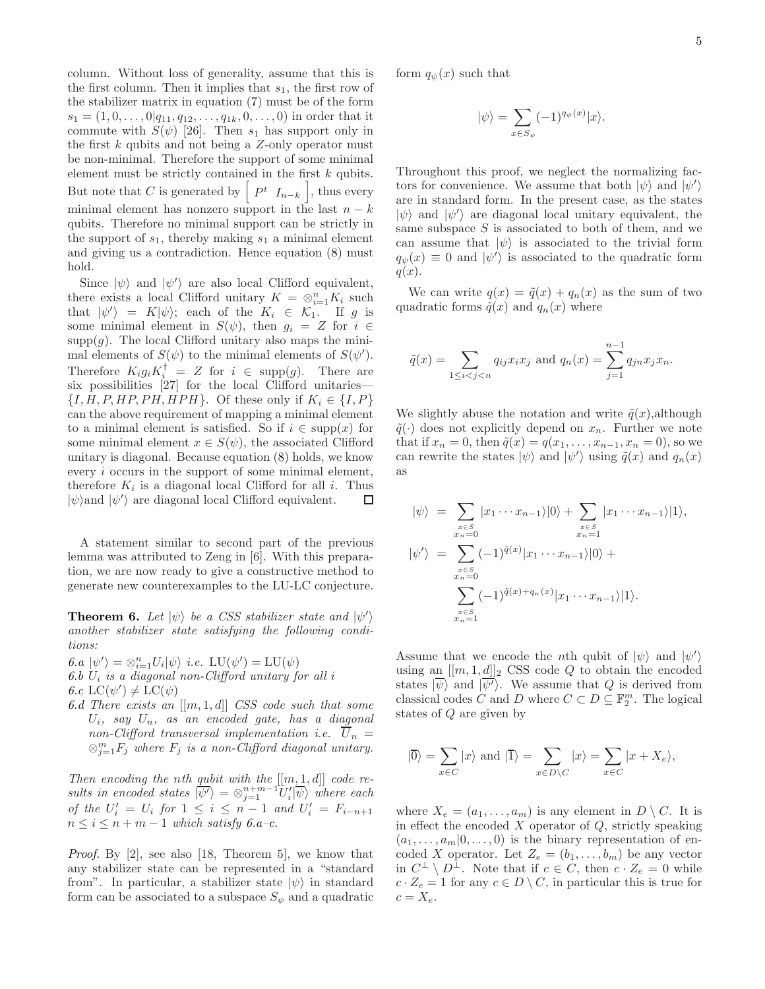column. Without loss of generality, assume that this is the first column. Then it implies that  $s_1$ , the first row of the stabilizer matrix in equation (7) must be of the form  $s_1 = (1, 0, \ldots, 0|q_{11}, q_{12}, \ldots, q_{1k}, 0, \ldots, 0)$  in order that it commute with  $S(\psi)$  [26]. Then  $s_1$  has support only in the first  $k$  qubits and not being a  $Z$ -only operator must be non-minimal. Therefore the support of some minimal element must be strictly contained in the first  $k$  qubits. But note that C is generated by  $\begin{bmatrix} P^t & I_{n-k} \end{bmatrix}$ , thus every minimal element has nonzero support in the last  $n - k$ qubits. Therefore no minimal support can be strictly in the support of  $s_1$ , thereby making  $s_1$  a minimal element and giving us a contradiction. Hence equation (8) must hold.

Since  $|\psi\rangle$  and  $|\psi'\rangle$  are also local Clifford equivalent, there exists a local Clifford unitary  $K = \otimes_{i=1}^{n} K_i$  such that  $|\psi'\rangle = K|\psi\rangle$ ; each of the  $K_i \in \mathcal{K}_1$ . If g is some minimal element in  $S(\psi)$ , then  $g_i = Z$  for  $i \in$  $supp(q)$ . The local Clifford unitary also maps the minimal elements of  $S(\psi)$  to the minimal elements of  $S(\psi')$ . Therefore  $K_i g_i K_i^{\dagger} = Z$  for  $i \in \text{supp}(g)$ . There are six possibilities [27] for the local Clifford unitaries—  $\{I, H, P, HP, PH, HPH\}.$  Of these only if  $K_i \in \{I, P\}$ can the above requirement of mapping a minimal element to a minimal element is satisfied. So if  $i \in \text{supp}(x)$  for some minimal element  $x \in S(\psi)$ , the associated Clifford unitary is diagonal. Because equation (8) holds, we know every i occurs in the support of some minimal element, therefore  $K_i$  is a diagonal local Clifford for all i. Thus  $|\psi\rangle$  are diagonal local Clifford equivalent. □

A statement similar to second part of the previous lemma was attributed to Zeng in [6]. With this preparation, we are now ready to give a constructive method to generate new counterexamples to the LU-LC conjecture.

**Theorem 6.** Let  $|\psi\rangle$  be a CSS stabilizer state and  $|\psi'\rangle$ another stabilizer state satisfying the following conditions:

6.a  $|\psi'\rangle = \otimes_{i=1}^n U_i |\psi\rangle$  i.e.  $LU(\psi') = LU(\psi)$ 6.b  $U_i$  is a diagonal non-Clifford unitary for all i

6.c  $LC(\psi') \neq LC(\psi)$ 

6.d There exists an  $[[m, 1, d]]$  CSS code such that some  $U_i$ , say  $U_n$ , as an encoded gate, has a diagonal non-Clifford transversal implementation i.e.  $\overline{U}_n =$  $\otimes_{j=1}^m F_j$  where  $F_j$  is a non-Clifford diagonal unitary.

Then encoding the nth qubit with the  $[[m, 1, d]]$  code results in encoded states  $|\overline{\psi'}\rangle = \otimes_{j=1}^{n+m-1} U'_{i} |\overline{\psi}\rangle$  where each of the  $U_i' = U_i$  for  $1 \leq i \leq n-1$  and  $U_i' = F_{i-n+1}$  $n \leq i \leq n+m-1$  which satisfy 6.a-c.

Proof. By [2], see also [18, Theorem 5], we know that any stabilizer state can be represented in a "standard from". In particular, a stabilizer state  $|\psi\rangle$  in standard form can be associated to a subspace  $S_{\psi}$  and a quadratic form  $q_{\psi}(x)$  such that

$$
|\psi\rangle = \sum_{x \in S_{\psi}} (-1)^{q_{\psi}(x)} |x\rangle.
$$

Throughout this proof, we neglect the normalizing factors for convenience. We assume that both  $|\psi\rangle$  and  $|\psi'\rangle$ are in standard form. In the present case, as the states  $|\psi\rangle$  and  $|\psi'\rangle$  are diagonal local unitary equivalent, the same subspace  $S$  is associated to both of them, and we can assume that  $|\psi\rangle$  is associated to the trivial form  $q_{\psi}(x) \equiv 0$  and  $|\psi'\rangle$  is associated to the quadratic form  $q(x)$ .

We can write  $q(x) = \tilde{q}(x) + q_n(x)$  as the sum of two quadratic forms  $\tilde{q}(x)$  and  $q_n(x)$  where

$$
\tilde{q}(x) = \sum_{1 \leq i < j < n} q_{ij} x_i x_j \text{ and } q_n(x) = \sum_{j=1}^{n-1} q_{jn} x_j x_n.
$$

We slightly abuse the notation and write  $\tilde{q}(x)$ , although  $\tilde{q}(\cdot)$  does not explicitly depend on  $x_n$ . Further we note that if  $x_n = 0$ , then  $\tilde{q}(x) = q(x_1, \ldots, x_{n-1}, x_n = 0)$ , so we can rewrite the states  $|\psi\rangle$  and  $|\psi'\rangle$  using  $\tilde{q}(x)$  and  $q_n(x)$ as

$$
|\psi\rangle = \sum_{\substack{x \in S \\ x_n = 0}} |x_1 \cdots x_{n-1}\rangle |0\rangle + \sum_{\substack{x \in S \\ x_n = 1}} |x_1 \cdots x_{n-1}\rangle |1\rangle,
$$
  

$$
|\psi'\rangle = \sum_{\substack{x \in S \\ x_n = 0}} (-1)^{\tilde{q}(x)} |x_1 \cdots x_{n-1}\rangle |0\rangle + \sum_{\substack{x \in S \\ x_n = 0}} (-1)^{\tilde{q}(x) + q_n(x)} |x_1 \cdots x_{n-1}\rangle |1\rangle.
$$

Assume that we encode the *n*th qubit of  $|\psi\rangle$  and  $|\psi'\rangle$ using an  $[[m, 1, d]]_2$  CSS code Q to obtain the encoded states  $|\psi\rangle$  and  $|\overline{\psi'}\rangle$ . We assume that Q is derived from classical codes C and D where  $C \subset D \subseteq \mathbb{F}_2^m$ . The logical states of Q are given by

$$
|\overline{0}\rangle = \sum_{x \in C} |x\rangle \text{ and } |\overline{1}\rangle = \sum_{x \in D \setminus C} |x\rangle = \sum_{x \in C} |x + X_e\rangle,
$$

where  $X_e = (a_1, \ldots, a_m)$  is any element in  $D \setminus C$ . It is in effect the encoded  $X$  operator of  $Q$ , strictly speaking  $(a_1, \ldots, a_m | 0, \ldots, 0)$  is the binary representation of encoded X operator. Let  $Z_e = (b_1, \ldots, b_m)$  be any vector in  $C^{\perp} \setminus D^{\perp}$ . Note that if  $c \in C$ , then  $c \cdot Z_e = 0$  while  $c \cdot Z_e = 1$  for any  $c \in D \setminus C$ , in particular this is true for  $c = X_e$ .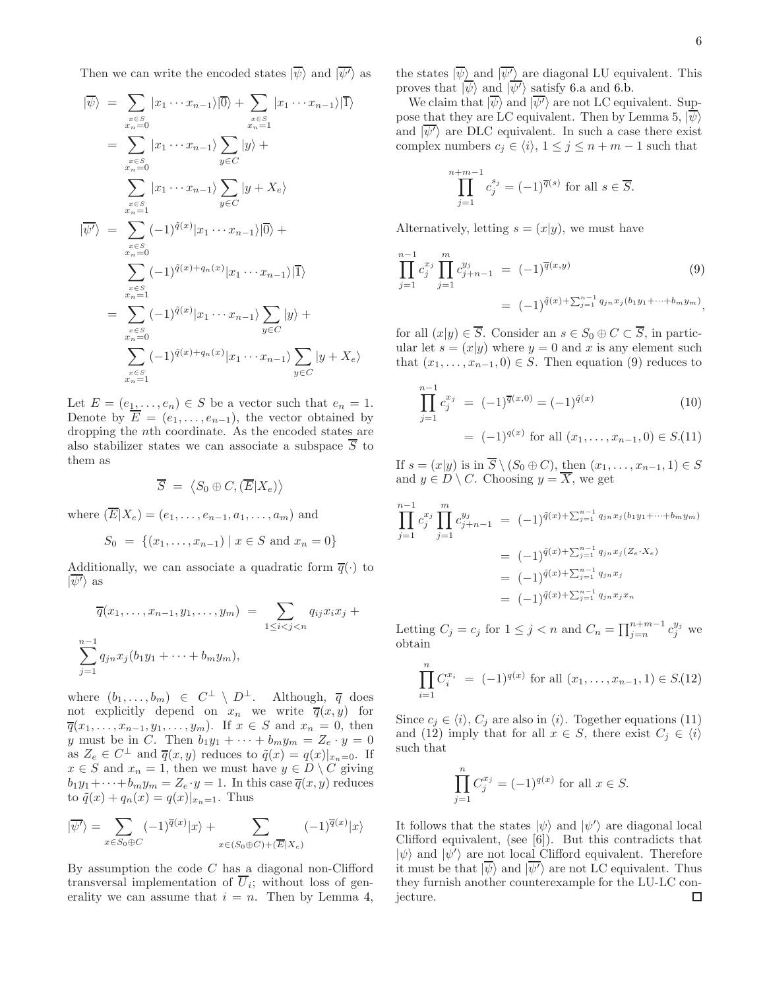Then we can write the encoded states  $|\overline{\psi}\rangle$  and  $|\overline{\psi'}\rangle$  as

$$
\begin{split}\n|\overline{\psi}\rangle &= \sum_{\substack{x \in S \\ x_n = 0}} |x_1 \cdots x_{n-1}\rangle |\overline{0}\rangle + \sum_{\substack{x \in S \\ x_n = 1}} |x_1 \cdots x_{n-1}\rangle \overline{1}\rangle \\
&= \sum_{\substack{x \in S \\ x_n = 0}} |x_1 \cdots x_{n-1}\rangle \sum_{y \in C} |y\rangle + \\
&\sum_{\substack{x \in S \\ x_n = 1}} |x_1 \cdots x_{n-1}\rangle \sum_{y \in C} |y + X_e\rangle \\
|\overline{\psi}\rangle &= \sum_{\substack{x \in S \\ x_n = 0}} (-1)^{\tilde{q}(x)} |x_1 \cdots x_{n-1}\rangle |\overline{0}\rangle + \\
&\sum_{\substack{x \in S \\ x_n = 1}} (-1)^{\tilde{q}(x)} |x_1 \cdots x_{n-1}\rangle \sum_{y \in C} |y\rangle + \\
&\sum_{\substack{x \in S \\ x_n = 0}} (-1)^{\tilde{q}(x)} |x_1 \cdots x_{n-1}\rangle \sum_{y \in C} |y + X_e\rangle \\
\sum_{\substack{x \in S \\ x_n = 1}} (-1)^{\tilde{q}(x)} + q_n(x) |x_1 \cdots x_{n-1}\rangle \sum_{y \in C} |y + X_e\rangle\n\end{split}
$$

Let  $E = (e_1, \ldots, e_n) \in S$  be a vector such that  $e_n = 1$ . Denote by  $\overline{E} = (e_1, \ldots, e_{n-1})$ , the vector obtained by dropping the nth coordinate. As the encoded states are also stabilizer states we can associate a subspace  $\overline{S}$  to them as

$$
\overline{S} = \langle S_0 \oplus C, (\overline{E}|X_e) \rangle
$$

where  $(\overline{E}|X_e) = (e_1, \ldots, e_{n-1}, a_1, \ldots, a_m)$  and

$$
S_0 = \{(x_1, \ldots, x_{n-1}) \mid x \in S \text{ and } x_n = 0\}
$$

Additionally, we can associate a quadratic form  $\overline{q}(\cdot)$  to  $|\psi'\rangle$  as

$$
\overline{q}(x_1, ..., x_{n-1}, y_1, ..., y_m) = \sum_{1 \leq i < j < n} q_{ij} x_i x_j + \sum_{j=1}^{n-1} q_{jn} x_j (b_1 y_1 + \dots + b_m y_m),
$$

where  $(b_1, \ldots, b_m) \in C^{\perp} \setminus D^{\perp}$ . Although,  $\overline{q}$  does not explicitly depend on  $x_n$  we write  $\overline{q}(x, y)$  for  $\overline{q}(x_1, \ldots, x_{n-1}, y_1, \ldots, y_m)$ . If  $x \in S$  and  $x_n = 0$ , then y must be in C. Then  $b_1y_1 + \cdots + b_my_m = Z_e \cdot y = 0$ as  $Z_e \in C^{\perp}$  and  $\overline{q}(x, y)$  reduces to  $\tilde{q}(x) = q(x)|_{x_n=0}$ . If  $x \in S$  and  $x_n = 1$ , then we must have  $y \in D \setminus C$  giving  $b_1y_1+\cdots+b_my_m=Z_e\cdot y=1.$  In this case  $\overline{q}(x,y)$  reduces to  $\tilde{q}(x) + q_n(x) = q(x)|_{x_n=1}$ . Thus

$$
|\overline{\psi'}\rangle = \sum_{x \in S_0 \oplus C} (-1)^{\overline{q}(x)} |x\rangle + \sum_{x \in (S_0 \oplus C) + (\overline{E}|X_e)} (-1)^{\overline{q}(x)} |x\rangle
$$

By assumption the code  $C$  has a diagonal non-Clifford transversal implementation of  $U_i$ ; without loss of generality we can assume that  $i = n$ . Then by Lemma 4, the states  $|\overline{\psi}\rangle$  and  $|\overline{\psi'}\rangle$  are diagonal LU equivalent. This proves that  $|\overline{\psi}\rangle$  and  $|\overline{\psi'}\rangle$  satisfy 6.a and 6.b.

We claim that  $|\overline{\psi}\rangle$  and  $|\overline{\psi'}\rangle$  are not LC equivalent. Suppose that they are LC equivalent. Then by Lemma 5,  $|\overline{\psi}\rangle$ and  $|\overline{\psi'}\rangle$  are DLC equivalent. In such a case there exist complex numbers  $c_i \in \langle i \rangle$ ,  $1 \leq j \leq n+m-1$  such that

$$
\prod_{j=1}^{n+m-1} c_j^{s_j} = (-1)^{\overline{q}(s)}
$$
 for all  $s \in \overline{S}$ .

Alternatively, letting  $s = (x|y)$ , we must have

$$
\prod_{j=1}^{n-1} c_j^{x_j} \prod_{j=1}^m c_{j+n-1}^{y_j} = (-1)^{\overline{q}(x,y)} \tag{9}
$$
\n
$$
= (-1)^{\widetilde{q}(x) + \sum_{j=1}^{n-1} q_{jn} x_j (b_1 y_1 + \dots + b_m y_m)},
$$

for all  $(x|y) \in \overline{S}$ . Consider an  $s \in S_0 \oplus C \subset \overline{S}$ , in particular let  $s = (x|y)$  where  $y = 0$  and x is any element such that  $(x_1, \ldots, x_{n-1}, 0) \in S$ . Then equation (9) reduces to

$$
\prod_{j=1}^{n-1} c_j^{x_j} = (-1)^{\overline{q}(x,0)} = (-1)^{\tilde{q}(x)}
$$
(10)  
=  $(-1)^{q(x)}$  for all  $(x_1, \ldots, x_{n-1}, 0) \in S.(11)$ 

If  $s = (x|y)$  is in  $\overline{S} \setminus (S_0 \oplus C)$ , then  $(x_1, \ldots, x_{n-1}, 1) \in S$ and  $y \in D \setminus C$ . Choosing  $y = \overline{X}$ , we get

$$
\prod_{j=1}^{n-1} c_j^{x_j} \prod_{j=1}^m c_{j+n-1}^{y_j} = (-1)^{\tilde{q}(x) + \sum_{j=1}^{n-1} q_{jn} x_j(b_1 y_1 + \dots + b_m y_m)}
$$
  
\n
$$
= (-1)^{\tilde{q}(x) + \sum_{j=1}^{n-1} q_{jn} x_j(\mathbf{Z}_e \cdot \mathbf{X}_e)}
$$
  
\n
$$
= (-1)^{\tilde{q}(x) + \sum_{j=1}^{n-1} q_{jn} x_j}
$$
  
\n
$$
= (-1)^{\tilde{q}(x) + \sum_{j=1}^{n-1} q_{jn} x_j x_n}
$$

Letting  $C_j = c_j$  for  $1 \leq j < n$  and  $C_n = \prod_{j=n}^{n+m-1} c_j^{y_j}$  we obtain

$$
\prod_{i=1}^{n} C_i^{x_i} = (-1)^{q(x)}
$$
 for all  $(x_1, \ldots, x_{n-1}, 1) \in S(12)$ 

Since  $c_j \in \langle i \rangle$ ,  $C_j$  are also in  $\langle i \rangle$ . Together equations (11) and (12) imply that for all  $x \in S$ , there exist  $C_j \in \langle i \rangle$ such that

$$
\prod_{j=1}^{n} C_j^{x_j} = (-1)^{q(x)} \text{ for all } x \in S.
$$

It follows that the states  $|\psi\rangle$  and  $|\psi'\rangle$  are diagonal local Clifford equivalent, (see [6]). But this contradicts that  $|\psi\rangle$  and  $|\psi'\rangle$  are not local Clifford equivalent. Therefore it must be that  $|\overline{\psi}\rangle$  and  $|\overline{\psi'}\rangle$  are not LC equivalent. Thus they furnish another counterexample for the LU-LC conjecture. $\Box$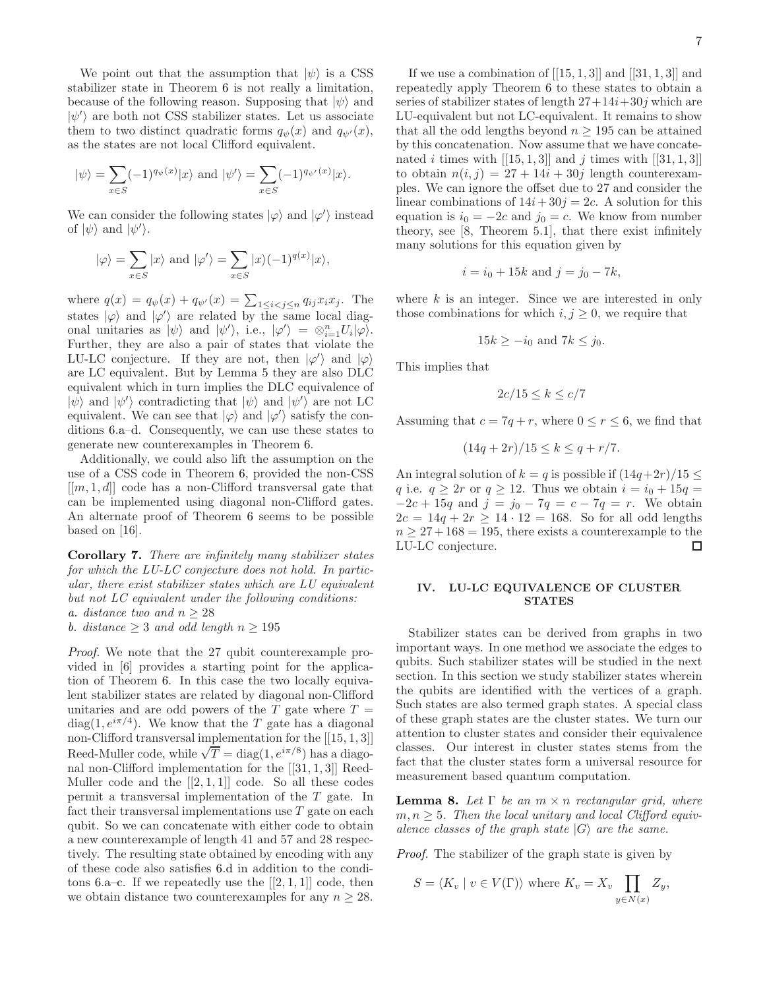We point out that the assumption that  $|\psi\rangle$  is a CSS stabilizer state in Theorem 6 is not really a limitation, because of the following reason. Supposing that  $|\psi\rangle$  and  $|\psi'\rangle$  are both not CSS stabilizer states. Let us associate them to two distinct quadratic forms  $q_{\psi}(x)$  and  $q_{\psi'}(x)$ , as the states are not local Clifford equivalent.

$$
|\psi\rangle = \sum_{x \in S} (-1)^{q_{\psi}(x)} |x\rangle
$$
 and  $|\psi'\rangle = \sum_{x \in S} (-1)^{q_{\psi'}(x)} |x\rangle$ .

We can consider the following states  $|\varphi\rangle$  and  $|\varphi'\rangle$  instead of  $|\psi\rangle$  and  $|\psi'\rangle$ .

$$
|\varphi\rangle = \sum_{x \in S} |x\rangle
$$
 and  $|\varphi'\rangle = \sum_{x \in S} |x\rangle (-1)^{q(x)} |x\rangle$ ,

where  $q(x) = q_{\psi}(x) + q_{\psi'}(x) = \sum_{1 \leq i < j \leq n} q_{ij} x_i x_j$ . The states  $|\varphi\rangle$  and  $|\varphi'\rangle$  are related by the same local diagonal unitaries as  $|\psi\rangle$  and  $|\psi'\rangle$ , i.e.,  $|\varphi'\rangle = \otimes_{i=1}^n U_i |\varphi\rangle$ . Further, they are also a pair of states that violate the LU-LC conjecture. If they are not, then  $|\varphi'\rangle$  and  $|\varphi\rangle$ are LC equivalent. But by Lemma 5 they are also DLC equivalent which in turn implies the DLC equivalence of  $|\psi\rangle$  and  $|\psi'\rangle$  contradicting that  $|\psi\rangle$  and  $|\psi'\rangle$  are not LC equivalent. We can see that  $|\varphi\rangle$  and  $|\varphi'\rangle$  satisfy the conditions 6.a–d. Consequently, we can use these states to generate new counterexamples in Theorem 6.

Additionally, we could also lift the assumption on the use of a CSS code in Theorem 6, provided the non-CSS  $[[m, 1, d]]$  code has a non-Clifford transversal gate that can be implemented using diagonal non-Clifford gates. An alternate proof of Theorem 6 seems to be possible based on [16].

Corollary 7. There are infinitely many stabilizer states for which the LU-LC conjecture does not hold. In particular, there exist stabilizer states which are LU equivalent but not LC equivalent under the following conditions: a. distance two and  $n \geq 28$ b. distance  $\geq$  3 and odd length  $n \geq 195$ 

Proof. We note that the 27 qubit counterexample provided in [6] provides a starting point for the application of Theorem 6. In this case the two locally equivalent stabilizer states are related by diagonal non-Clifford unitaries and are odd powers of the  $T$  gate where  $T =$ diag(1,  $e^{i\pi/4}$ ). We know that the T gate has a diagonal non-Clifford transversal implementation for the [[15, 1, 3]] Reed-Muller code, while  $\sqrt{T} = \text{diag}(1, e^{i\pi/8})$  has a diagonal non-Clifford implementation for the [[31, 1, 3]] Reed-Muller code and the  $[[2,1,1]]$  code. So all these codes permit a transversal implementation of the T gate. In fact their transversal implementations use  $T$  gate on each qubit. So we can concatenate with either code to obtain a new counterexample of length 41 and 57 and 28 respectively. The resulting state obtained by encoding with any of these code also satisfies 6.d in addition to the conditons 6.a–c. If we repeatedly use the  $[[2,1,1]]$  code, then we obtain distance two counterexamples for any  $n \geq 28$ .

If we use a combination of  $[[15, 1, 3]]$  and  $[[31, 1, 3]]$  and repeatedly apply Theorem 6 to these states to obtain a series of stabilizer states of length  $27+14i+30j$  which are LU-equivalent but not LC-equivalent. It remains to show that all the odd lengths beyond  $n \geq 195$  can be attained by this concatenation. Now assume that we have concatenated i times with  $[[15, 1, 3]]$  and j times with  $[[31, 1, 3]]$ to obtain  $n(i, j) = 27 + 14i + 30j$  length counterexamples. We can ignore the offset due to 27 and consider the linear combinations of  $14i+30j=2c$ . A solution for this equation is  $i_0 = -2c$  and  $j_0 = c$ . We know from number theory, see [8, Theorem 5.1], that there exist infinitely many solutions for this equation given by

$$
i = i_0 + 15k
$$
 and  $j = j_0 - 7k$ ,

where  $k$  is an integer. Since we are interested in only those combinations for which  $i, j \geq 0$ , we require that

$$
15k \ge -i_0 \text{ and } 7k \le j_0.
$$

This implies that

$$
2c/15 \le k \le c/7
$$

Assuming that  $c = 7q + r$ , where  $0 \le r \le 6$ , we find that

$$
(14q + 2r)/15 \le k \le q + r/7.
$$

An integral solution of  $k = q$  is possible if  $(14q+2r)/15 \leq$ q i.e.  $q \ge 2r$  or  $q \ge 12$ . Thus we obtain  $i = i_0 + 15q =$  $-2c + 15q$  and  $j = j_0 - 7q = c - 7q = r$ . We obtain  $2c = 14q + 2r \ge 14 \cdot 12 = 168$ . So for all odd lengths  $n \geq 27 + 168 = 195$ , there exists a counterexample to the LU-LC conjecture. LU-LC conjecture.

## IV. LU-LC EQUIVALENCE OF CLUSTER **STATES**

Stabilizer states can be derived from graphs in two important ways. In one method we associate the edges to qubits. Such stabilizer states will be studied in the next section. In this section we study stabilizer states wherein the qubits are identified with the vertices of a graph. Such states are also termed graph states. A special class of these graph states are the cluster states. We turn our attention to cluster states and consider their equivalence classes. Our interest in cluster states stems from the fact that the cluster states form a universal resource for measurement based quantum computation.

**Lemma 8.** Let  $\Gamma$  be an  $m \times n$  rectangular grid, where  $m, n \geq 5$ . Then the local unitary and local Clifford equivalence classes of the graph state  $|G\rangle$  are the same.

Proof. The stabilizer of the graph state is given by

$$
S = \langle K_v \mid v \in V(\Gamma) \rangle \text{ where } K_v = X_v \prod_{y \in N(x)} Z_y,
$$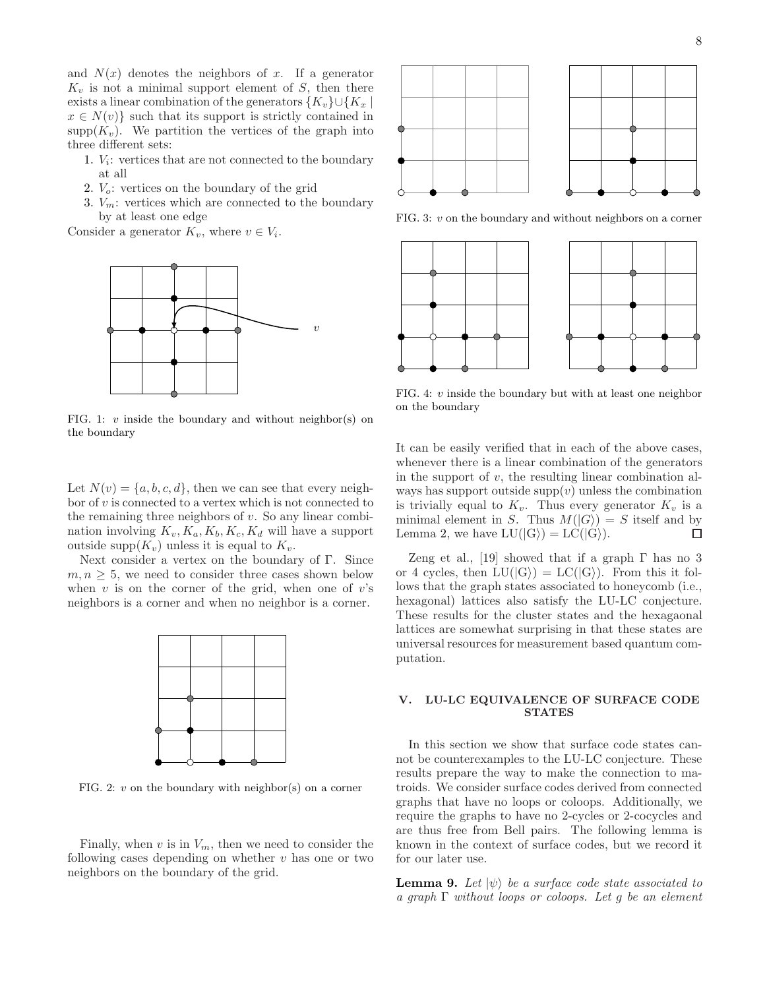and  $N(x)$  denotes the neighbors of x. If a generator  $K_v$  is not a minimal support element of S, then there exists a linear combination of the generators  $\{K_v\}\cup\{K_x\}$  $x \in N(v)$  such that its support is strictly contained in  $\text{supp}(K_v)$ . We partition the vertices of the graph into three different sets:

- 1. V<sup>i</sup> : vertices that are not connected to the boundary at all
- 2.  $V<sub>o</sub>$ : vertices on the boundary of the grid
- 3.  $V_m$ : vertices which are connected to the boundary by at least one edge

Consider a generator  $K_v$ , where  $v \in V_i$ .



FIG. 1:  $v$  inside the boundary and without neighbor(s) on the boundary

Let  $N(v) = \{a, b, c, d\}$ , then we can see that every neighbor of  $v$  is connected to a vertex which is not connected to the remaining three neighbors of  $v$ . So any linear combination involving  $K_v, K_a, K_b, K_c, K_d$  will have a support outside supp $(K_v)$  unless it is equal to  $K_v$ .

Next consider a vertex on the boundary of Γ. Since  $m, n \geq 5$ , we need to consider three cases shown below when  $v$  is on the corner of the grid, when one of  $v$ 's neighbors is a corner and when no neighbor is a corner.



FIG. 2:  $v$  on the boundary with neighbor(s) on a corner

Finally, when  $v$  is in  $V_m$ , then we need to consider the following cases depending on whether  $v$  has one or two neighbors on the boundary of the grid.



FIG. 3: v on the boundary and without neighbors on a corner



FIG. 4: v inside the boundary but with at least one neighbor on the boundary

It can be easily verified that in each of the above cases, whenever there is a linear combination of the generators in the support of  $v$ , the resulting linear combination always has support outside  $supp(v)$  unless the combination is trivially equal to  $K_v$ . Thus every generator  $K_v$  is a minimal element in S. Thus  $M(|G\rangle) = S$  itself and by<br>Lemma 2, we have  $LU(|G\rangle) = LC(|G\rangle)$ . Lemma 2, we have  $LU(|G\rangle) = LC(|G\rangle)$ .

Zeng et al., [19] showed that if a graph  $\Gamma$  has no 3 or 4 cycles, then  $LU(|G\rangle) = LC(|G\rangle)$ . From this it follows that the graph states associated to honeycomb (i.e., hexagonal) lattices also satisfy the LU-LC conjecture. These results for the cluster states and the hexagaonal lattices are somewhat surprising in that these states are universal resources for measurement based quantum computation.

## V. LU-LC EQUIVALENCE OF SURFACE CODE **STATES**

In this section we show that surface code states cannot be counterexamples to the LU-LC conjecture. These results prepare the way to make the connection to matroids. We consider surface codes derived from connected graphs that have no loops or coloops. Additionally, we require the graphs to have no 2-cycles or 2-cocycles and are thus free from Bell pairs. The following lemma is known in the context of surface codes, but we record it for our later use.

**Lemma 9.** Let  $|\psi\rangle$  be a surface code state associated to a graph  $\Gamma$  without loops or coloops. Let q be an element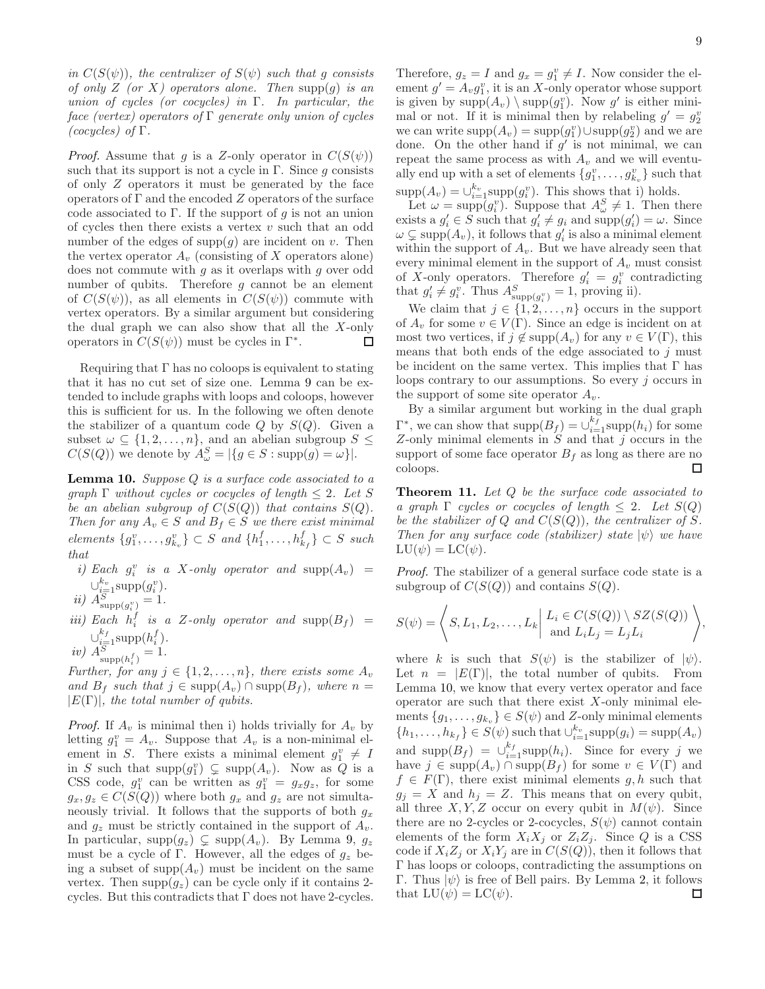in  $C(S(\psi))$ , the centralizer of  $S(\psi)$  such that g consists of only Z (or X) operators alone. Then supp $(g)$  is an union of cycles (or cocycles) in  $\Gamma$ . In particular, the face (vertex) operators of  $\Gamma$  generate only union of cycles (cocycles) of  $\Gamma$ .

*Proof.* Assume that g is a Z-only operator in  $C(S(\psi))$ such that its support is not a cycle in Γ. Since q consists of only Z operators it must be generated by the face operators of  $\Gamma$  and the encoded  $Z$  operators of the surface code associated to  $\Gamma$ . If the support of g is not an union of cycles then there exists a vertex  $v$  such that an odd number of the edges of  $\text{supp}(q)$  are incident on v. Then the vertex operator  $A_v$  (consisting of X operators alone) does not commute with  $q$  as it overlaps with  $q$  over odd number of qubits. Therefore  $g$  cannot be an element of  $C(S(\psi))$ , as all elements in  $C(S(\psi))$  commute with vertex operators. By a similar argument but considering the dual graph we can also show that all the  $X$ -only operators in  $C(S(\psi))$  must be cycles in  $\Gamma^*$ .  $\Box$ 

Requiring that  $\Gamma$  has no coloops is equivalent to stating that it has no cut set of size one. Lemma 9 can be extended to include graphs with loops and coloops, however this is sufficient for us. In the following we often denote the stabilizer of a quantum code  $Q$  by  $S(Q)$ . Given a subset  $\omega \subseteq \{1, 2, ..., n\}$ , and an abelian subgroup  $S \leq$  $C(S(Q))$  we denote by  $A^S_\omega = |\{g \in S : \text{supp}(g) = \omega\}|.$ 

**Lemma 10.** Suppose  $Q$  is a surface code associated to a graph  $\Gamma$  without cycles or cocycles of length  $\leq 2$ . Let S be an abelian subgroup of  $C(S(Q))$  that contains  $S(Q)$ . Then for any  $A_v \in S$  and  $B_f \in S$  we there exist minimal elements  $\{g_1^v, \ldots, g_{k_v}^v\} \subset S$  and  $\{h_1^f, \ldots, h_{k_f}^f\} \subset S$  such that

- i) Each  $g_i^v$  is a X-only operator and  $\text{supp}(A_v)$  =  $\cup_{\substack{i=1 \ i \in I}}^{k_v} \text{supp}(g_i^v).$
- *ii*)  $A_{\text{supp}(g_i^v)}^S = 1$ .
- iii) Each  $h_i^f$  is a Z-only operator and  $\text{supp}(B_f)$  =  $\cup_{i=1}^{k_f} \text{supp}(h_i^f)$ .
- *iv*)  $A_{\text{supp}(h_i^f)}^S = 1$ .

Further, for any  $j \in \{1, 2, \ldots, n\}$ , there exists some  $A_v$ and  $B_f$  such that  $j \in \text{supp}(A_v) \cap \text{supp}(B_f)$ , where  $n =$  $|E(\Gamma)|$ , the total number of qubits.

*Proof.* If  $A_v$  is minimal then i) holds trivially for  $A_v$  by letting  $g_1^v = A_v$ . Suppose that  $A_v$  is a non-minimal element in S. There exists a minimal element  $g_1^v \neq I$ in S such that  $\text{supp}(g_1^v) \subsetneq \text{supp}(A_v)$ . Now as Q is a CSS code,  $g_1^v$  can be written as  $g_1^v = g_x g_z$ , for some  $g_x, g_z \in C(\overline{S}(Q))$  where both  $g_x$  and  $g_z$  are not simultaneously trivial. It follows that the supports of both  $g_x$ and  $g_z$  must be strictly contained in the support of  $A_v$ . In particular,  $supp(g_z) \subsetneq supp(A_v)$ . By Lemma 9,  $g_z$ must be a cycle of Γ. However, all the edges of  $g_z$  being a subset of  $\text{supp}(A_v)$  must be incident on the same vertex. Then  $\text{supp}(q_z)$  can be cycle only if it contains 2cycles. But this contradicts that  $\Gamma$  does not have 2-cycles.

Therefore,  $g_z = I$  and  $g_x = g_1^v \neq I$ . Now consider the element  $g' = A_v g_1^v$ , it is an X-only operator whose support is given by  $\text{supp}(A_v) \setminus \text{supp}(g_1^v)$ . Now g' is either minimal or not. If it is minimal then by relabeling  $g' = g_2^v$ we can write  $\text{supp}(A_v) = \text{supp}(g_1^v) \cup \text{supp}(g_2^v)$  and we are done. On the other hand if  $g'$  is not minimal, we can repeat the same process as with  $A_v$  and we will eventually end up with a set of elements  $\{g_1^v, \ldots, g_{k_v}^v\}$  such that  $\text{supp}(A_v) = \bigcup_{i=1}^{k_v} \text{supp}(g_i^v)$ . This shows that i) holds.

Let  $\omega = \text{supp}(g_i^v)$ . Suppose that  $A^S_{\omega} \neq 1$ . Then there exists a  $g'_i \in S$  such that  $g'_i \neq g_i$  and  $\text{supp}(g'_i) = \omega$ . Since  $\omega \subsetneq \text{supp}(A_v)$ , it follows that  $g'_i$  is also a minimal element within the support of  $A_v$ . But we have already seen that every minimal element in the support of  $A_v$  must consist of X-only operators. Therefore  $g'_i = g^v_i$  contradicting that  $g'_i \neq g_i^v$ . Thus  $A_{\text{supp}(g_i^v)}^S = 1$ , proving ii).

We claim that  $j \in \{1, 2, \ldots, n\}$  occurs in the support of  $A_v$  for some  $v \in V(\Gamma)$ . Since an edge is incident on at most two vertices, if  $j \notin \text{supp}(A_v)$  for any  $v \in V(\Gamma)$ , this means that both ends of the edge associated to  $j$  must be incident on the same vertex. This implies that  $\Gamma$  has loops contrary to our assumptions. So every  $j$  occurs in the support of some site operator  $A_v$ .

By a similar argument but working in the dual graph  $\Gamma^*$ , we can show that  $\text{supp}(B_f) = \bigcup_{i=1}^{k_f} \text{supp}(h_i)$  for some Z-only minimal elements in  $S$  and that  $j$  occurs in the support of some face operator  $B_f$  as long as there are no coloops.  $\Box$ 

Theorem 11. Let Q be the surface code associated to a graph  $\Gamma$  cycles or cocycles of length  $\leq 2$ . Let  $S(Q)$ be the stabilizer of Q and  $C(S(Q))$ , the centralizer of S. Then for any surface code (stabilizer) state  $|\psi\rangle$  we have  $LU(\psi) = LC(\psi).$ 

Proof. The stabilizer of a general surface code state is a subgroup of  $C(S(Q))$  and contains  $S(Q)$ .

$$
S(\psi) = \left\langle S, L_1, L_2, \dots, L_k \middle| \begin{array}{c} L_i \in C(S(Q)) \setminus SZ(S(Q)) \\ \text{and } L_i L_j = L_j L_i \end{array} \right\rangle,
$$

where k is such that  $S(\psi)$  is the stabilizer of  $|\psi\rangle$ . Let  $n = |E(\Gamma)|$ , the total number of qubits. From Lemma 10, we know that every vertex operator and face operator are such that there exist  $X$ -only minimal elements  ${g_1, \ldots, g_{k_n}} \in S(\psi)$  and Z-only minimal elements  ${h_1, \ldots, h_{k_f}} \in S(\psi)$  such that  $\bigcup_{i=1}^{k_v} \text{supp}(g_i) = \text{supp}(A_v)$ and  $\text{supp}(B_f) = \bigcup_{i=1}^{k_f} \text{supp}(h_i)$ . Since for every j we have  $j \in \text{supp}(A_v) \cap \text{supp}(B_f)$  for some  $v \in V(\Gamma)$  and  $f \in F(\Gamma)$ , there exist minimal elements g, h such that  $g_j = X$  and  $h_j = Z$ . This means that on every qubit, all three  $X, Y, Z$  occur on every qubit in  $M(\psi)$ . Since there are no 2-cycles or 2-cocycles,  $S(\psi)$  cannot contain elements of the form  $X_i X_j$  or  $Z_i Z_j$ . Since Q is a CSS code if  $X_iZ_j$  or  $X_iY_j$  are in  $C(S(Q))$ , then it follows that Γ has loops or coloops, contradicting the assumptions on Γ. Thus  $|\psi\rangle$  is free of Bell pairs. By Lemma 2, it follows that  $LU(\psi) = LC(\psi)$ . that  $LU(\psi) = LC(\psi)$ .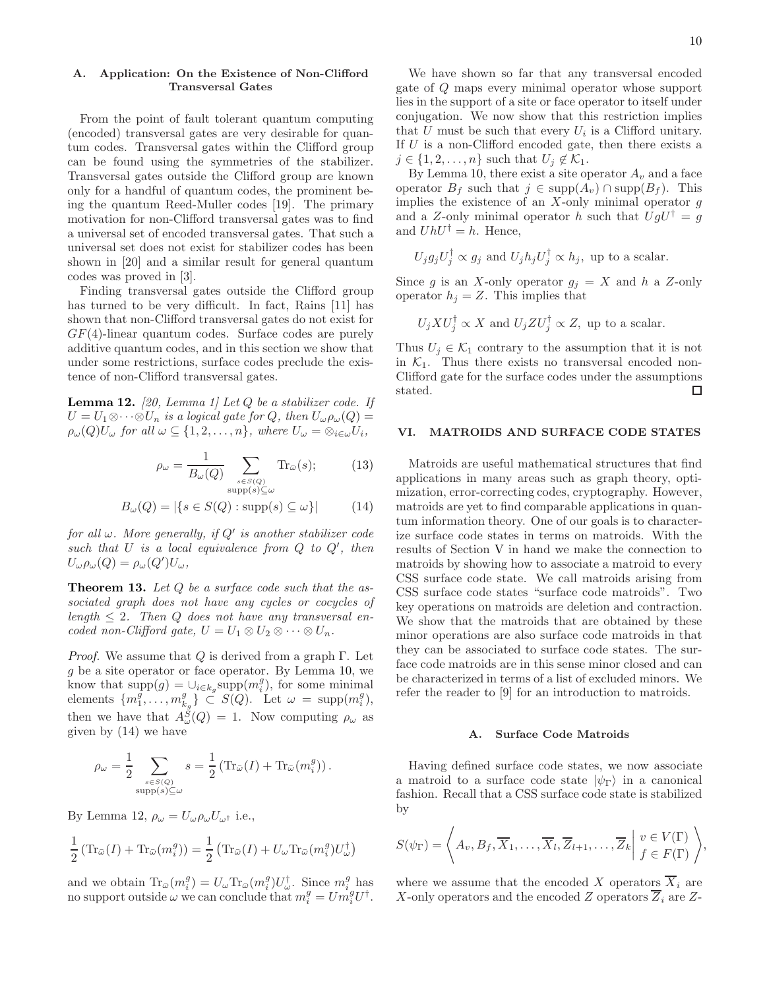## A. Application: On the Existence of Non-Clifford Transversal Gates

From the point of fault tolerant quantum computing (encoded) transversal gates are very desirable for quantum codes. Transversal gates within the Clifford group can be found using the symmetries of the stabilizer. Transversal gates outside the Clifford group are known only for a handful of quantum codes, the prominent being the quantum Reed-Muller codes [19]. The primary motivation for non-Clifford transversal gates was to find a universal set of encoded transversal gates. That such a universal set does not exist for stabilizer codes has been shown in [20] and a similar result for general quantum codes was proved in [3].

Finding transversal gates outside the Clifford group has turned to be very difficult. In fact, Rains [11] has shown that non-Clifford transversal gates do not exist for  $GF(4)$ -linear quantum codes. Surface codes are purely additive quantum codes, and in this section we show that under some restrictions, surface codes preclude the existence of non-Clifford transversal gates.

**Lemma 12.** [20, Lemma 1] Let  $Q$  be a stabilizer code. If  $U = U_1 \otimes \cdots \otimes U_n$  is a logical gate for Q, then  $U_{\omega} \rho_{\omega}(Q) =$  $\rho_\omega(Q)U_\omega$  for all  $\omega \subseteq \{1, 2, \ldots, n\}$ , where  $U_\omega = \otimes_{i \in \omega} U_i$ ,

$$
\rho_{\omega} = \frac{1}{B_{\omega}(Q)} \sum_{\substack{s \in S(Q) \\ \text{supp}(s) \subseteq \omega}} \text{Tr}_{\bar{\omega}}(s); \tag{13}
$$

$$
B_{\omega}(Q) = |\{s \in S(Q) : \text{supp}(s) \subseteq \omega\}| \tag{14}
$$

for all  $\omega$ . More generally, if  $Q'$  is another stabilizer code such that  $U$  is a local equivalence from  $Q$  to  $Q'$ , then  $U_{\omega}\rho_{\omega}(Q) = \rho_{\omega}(Q')U_{\omega},$ 

**Theorem 13.** Let  $Q$  be a surface code such that the associated graph does not have any cycles or cocycles of length  $\leq 2$ . Then Q does not have any transversal encoded non-Clifford gate,  $U = U_1 \otimes U_2 \otimes \cdots \otimes U_n$ .

*Proof.* We assume that Q is derived from a graph  $\Gamma$ . Let g be a site operator or face operator. By Lemma 10, we know that  $\text{supp}(g) = \bigcup_{i \in k_g} \text{supp}(m_i^g)$ , for some minimal elements  $\{m_1^g, \ldots, m_{k_g}^g\} \subset^g S(Q)$ . Let  $\omega = \text{supp}(m_i^g)$ , then we have that  $A_{\omega}^{S}(Q) = 1$ . Now computing  $\rho_{\omega}$  as given by (14) we have

$$
\rho_{\omega} = \frac{1}{2} \sum_{\substack{s \in S(Q) \\ \text{supp}(s) \subseteq \omega}} s = \frac{1}{2} \left( \text{Tr}_{\bar{\omega}}(I) + \text{Tr}_{\bar{\omega}}(m_i^g) \right).
$$

By Lemma 12,  $\rho_{\omega} = U_{\omega} \rho_{\omega} U_{\omega^{\dagger}}$  i.e.,

$$
\frac{1}{2} \left( \text{Tr}_{\bar{\omega}}(I) + \text{Tr}_{\bar{\omega}}(m_i^g) \right) = \frac{1}{2} \left( \text{Tr}_{\bar{\omega}}(I) + U_{\omega} \text{Tr}_{\bar{\omega}}(m_i^g) U_{\omega}^{\dagger} \right)
$$

and we obtain  $\text{Tr}_{\bar{\omega}}(m_i^g) = U_{\omega} \text{Tr}_{\bar{\omega}}(m_i^g) U_{\omega}^{\dagger}$ . Since  $m_i^g$  has no support outside  $\omega$  we can conclude that  $m_i^g = U m_i^g U^{\dagger}$ .

We have shown so far that any transversal encoded gate of Q maps every minimal operator whose support lies in the support of a site or face operator to itself under conjugation. We now show that this restriction implies that  $U$  must be such that every  $U_i$  is a Clifford unitary. If  $U$  is a non-Clifford encoded gate, then there exists a  $j \in \{1, 2, \ldots, n\}$  such that  $U_j \notin \mathcal{K}_1$ .

By Lemma 10, there exist a site operator  $A_v$  and a face operator  $B_f$  such that  $j \in \text{supp}(A_v) \cap \text{supp}(B_f)$ . This implies the existence of an  $X$ -only minimal operator  $g$ and a Z-only minimal operator h such that  $UgU^{\dagger} = g$ and  $UhU^{\dagger} = h$ . Hence,

$$
U_j g_j U_j^{\dagger} \propto g_j
$$
 and  $U_j h_j U_j^{\dagger} \propto h_j$ , up to a scalar.

Since g is an X-only operator  $g_j = X$  and h a Z-only operator  $h_i = Z$ . This implies that

$$
U_j X U_j^{\dagger} \propto X
$$
 and  $U_j Z U_j^{\dagger} \propto Z$ , up to a scalar.

Thus  $U_j \in \mathcal{K}_1$  contrary to the assumption that it is not in  $K_1$ . Thus there exists no transversal encoded non-Clifford gate for the surface codes under the assumptions stated.  $\Box$ 

## VI. MATROIDS AND SURFACE CODE STATES

Matroids are useful mathematical structures that find applications in many areas such as graph theory, optimization, error-correcting codes, cryptography. However, matroids are yet to find comparable applications in quantum information theory. One of our goals is to characterize surface code states in terms on matroids. With the results of Section V in hand we make the connection to matroids by showing how to associate a matroid to every CSS surface code state. We call matroids arising from CSS surface code states "surface code matroids". Two key operations on matroids are deletion and contraction. We show that the matroids that are obtained by these minor operations are also surface code matroids in that they can be associated to surface code states. The surface code matroids are in this sense minor closed and can be characterized in terms of a list of excluded minors. We refer the reader to [9] for an introduction to matroids.

#### A. Surface Code Matroids

Having defined surface code states, we now associate a matroid to a surface code state  $|\psi_{\Gamma}\rangle$  in a canonical fashion. Recall that a CSS surface code state is stabilized by

$$
S(\psi_{\Gamma}) = \left\langle A_v, B_f, \overline{X}_1, \dots, \overline{X}_l, \overline{Z}_{l+1}, \dots, \overline{Z}_k \middle| \begin{array}{l} v \in V(\Gamma) \\ f \in F(\Gamma) \end{array} \right\rangle,
$$

where we assume that the encoded X operators  $\overline{X}_i$  are X-only operators and the encoded Z operators  $\overline{Z}_i$  are Z-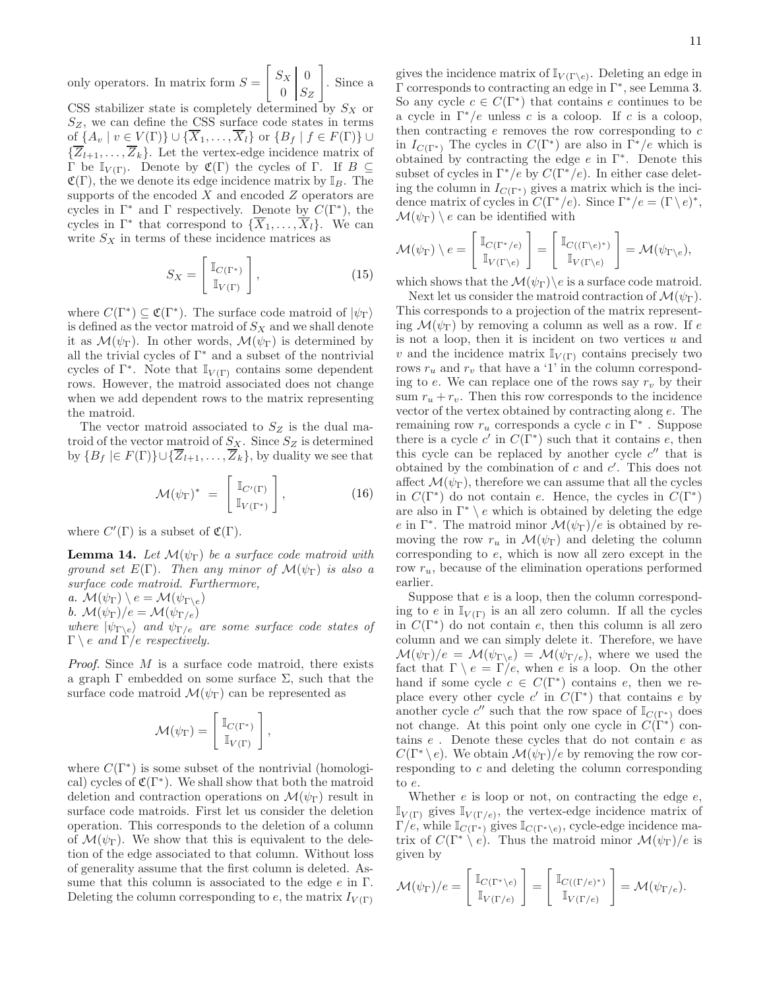only operators. In matrix form  $S =$  $\begin{bmatrix} S_X & 0 \end{bmatrix}$  $0 \mid S_Z$ 1 . Since a

CSS stabilizer state is completely determined by  $S_X$  or  $S_Z$ , we can define the CSS surface code states in terms of  $\{A_v \mid v \in V(\Gamma)\} \cup \{\overline{X}_1,\ldots,\overline{X}_l\}$  or  $\{B_f \mid f \in F(\Gamma)\}$  $\{\overline{Z}_{l+1}, \ldots, \overline{Z}_k\}$ . Let the vertex-edge incidence matrix of Γ be  $\mathbb{I}_{V(\Gamma)}$ . Denote by  $\mathfrak{C}(\Gamma)$  the cycles of Γ. If  $B \subseteq$  $\mathfrak{C}(\Gamma)$ , the we denote its edge incidence matrix by  $\mathbb{I}_B$ . The supports of the encoded  $X$  and encoded  $Z$  operators are cycles in  $\Gamma^*$  and  $\Gamma$  respectively. Denote by  $C(\Gamma^*)$ , the cycles in  $\Gamma^*$  that correspond to  $\{\overline{X}_1, \ldots, \overline{X}_l\}$ . We can write  $S_X$  in terms of these incidence matrices as

$$
S_X = \begin{bmatrix} \mathbb{I}_{C(\Gamma^*)} \\ \mathbb{I}_{V(\Gamma)} \end{bmatrix}, \tag{15}
$$

where  $C(\Gamma^*) \subseteq \mathfrak{C}(\Gamma^*)$ . The surface code matroid of  $|\psi_{\Gamma}\rangle$ is defined as the vector matroid of  $S_X$  and we shall denote it as  $\mathcal{M}(\psi_{\Gamma})$ . In other words,  $\mathcal{M}(\psi_{\Gamma})$  is determined by all the trivial cycles of  $\Gamma^*$  and a subset of the nontrivial cycles of  $\Gamma^*$ . Note that  $\mathbb{I}_{V(\Gamma)}$  contains some dependent rows. However, the matroid associated does not change when we add dependent rows to the matrix representing the matroid.

The vector matroid associated to  $S_Z$  is the dual matroid of the vector matroid of  $S_X$ . Since  $S_Z$  is determined by  ${B_f \in F(\Gamma)} \cup {Z_{l+1}, \ldots, Z_k}$ , by duality we see that

$$
\mathcal{M}(\psi_{\Gamma})^* = \begin{bmatrix} \mathbb{I}_{C'(\Gamma)} \\ \mathbb{I}_{V(\Gamma^*)} \end{bmatrix}, \tag{16}
$$

where  $C'(\Gamma)$  is a subset of  $\mathfrak{C}(\Gamma)$ .

**Lemma 14.** Let  $\mathcal{M}(\psi_{\Gamma})$  be a surface code matroid with ground set  $E(\Gamma)$ . Then any minor of  $\mathcal{M}(\psi_{\Gamma})$  is also a surface code matroid. Furthermore,

a.  $\mathcal{M}(\psi_{\Gamma}) \setminus e = \mathcal{M}(\psi_{\Gamma \setminus e})$ 

b.  $\mathcal{M}(\psi_{\Gamma})/e = \mathcal{M}(\psi_{\Gamma/e})$ 

where  $|\psi_{\Gamma \backslash e}\rangle$  and  $\psi_{\Gamma / e}$  are some surface code states of  $\Gamma \setminus e$  and  $\Gamma / e$  respectively.

Proof. Since M is a surface code matroid, there exists a graph  $\Gamma$  embedded on some surface  $\Sigma$ , such that the surface code matroid  $\mathcal{M}(\psi_{\Gamma})$  can be represented as

$$
\mathcal{M}(\psi_{\Gamma}) = \left[\begin{array}{c} \mathbb{I}_{C(\Gamma^*)} \\ \mathbb{I}_{V(\Gamma)} \end{array}\right],
$$

where  $C(\Gamma^*)$  is some subset of the nontrivial (homological) cycles of  $\mathfrak{C}(\Gamma^*)$ . We shall show that both the matroid deletion and contraction operations on  $\mathcal{M}(\psi_{\Gamma})$  result in surface code matroids. First let us consider the deletion operation. This corresponds to the deletion of a column of  $\mathcal{M}(\psi_{\Gamma})$ . We show that this is equivalent to the deletion of the edge associated to that column. Without loss of generality assume that the first column is deleted. Assume that this column is associated to the edge  $e$  in  $\Gamma$ . Deleting the column corresponding to  $e$ , the matrix  $I_{V(\Gamma)}$ 

gives the incidence matrix of  $\mathbb{I}_{V(\Gamma \backslash e)}$ . Deleting an edge in Γ corresponds to contracting an edge in Γ<sup>∗</sup> , see Lemma 3. So any cycle  $c \in C(\Gamma^*)$  that contains e continues to be a cycle in  $\Gamma^*/e$  unless c is a coloop. If c is a coloop, then contracting  $e$  removes the row corresponding to  $c$ in  $I_{C(\Gamma^*)}$  The cycles in  $C(\Gamma^*)$  are also in  $\Gamma^*/e$  which is obtained by contracting the edge  $e$  in  $\Gamma^*$ . Denote this subset of cycles in  $\Gamma^*/e$  by  $C(\Gamma^*/e)$ . In either case deleting the column in  $I_{C(\Gamma^*)}$  gives a matrix which is the incidence matrix of cycles in  $C(\Gamma^*/e)$ . Since  $\Gamma^*/e = (\Gamma \setminus e)^*$ ,  $\mathcal{M}(\psi_{\Gamma}) \setminus e$  can be identified with

$$
\mathcal{M}(\psi_{\Gamma}) \setminus e = \begin{bmatrix} \mathbb{I}_{C(\Gamma^*/e)} \\ \mathbb{I}_{V(\Gamma \setminus e)} \end{bmatrix} = \begin{bmatrix} \mathbb{I}_{C((\Gamma \setminus e)^*)} \\ \mathbb{I}_{V(\Gamma \setminus e)} \end{bmatrix} = \mathcal{M}(\psi_{\Gamma \setminus e}),
$$

which shows that the  $\mathcal{M}(\psi_{\Gamma})\backslash e$  is a surface code matroid.

Next let us consider the matroid contraction of  $\mathcal{M}(\psi_{\Gamma}).$ This corresponds to a projection of the matrix representing  $\mathcal{M}(\psi_{\Gamma})$  by removing a column as well as a row. If e is not a loop, then it is incident on two vertices  $u$  and v and the incidence matrix  $\mathbb{I}_{V(\Gamma)}$  contains precisely two rows  $r_u$  and  $r_v$  that have a '1' in the column corresponding to e. We can replace one of the rows say  $r_v$  by their sum  $r_u + r_v$ . Then this row corresponds to the incidence vector of the vertex obtained by contracting along e. The remaining row  $r_u$  corresponds a cycle  $c$  in  $\Gamma^*$ . Suppose there is a cycle  $c'$  in  $C(\Gamma^*)$  such that it contains e, then this cycle can be replaced by another cycle  $c''$  that is obtained by the combination of  $c$  and  $c'$ . This does not affect  $\mathcal{M}(\psi_{\Gamma})$ , therefore we can assume that all the cycles in  $C(\Gamma^*)$  do not contain e. Hence, the cycles in  $C(\Gamma^*)$ are also in  $\Gamma^* \setminus e$  which is obtained by deleting the edge e in Γ<sup>\*</sup>. The matroid minor  $\mathcal{M}(\psi_{\Gamma})/e$  is obtained by removing the row  $r_u$  in  $\mathcal{M}(\psi_{\Gamma})$  and deleting the column corresponding to e, which is now all zero except in the row  $r_u$ , because of the elimination operations performed earlier.

Suppose that  $e$  is a loop, then the column corresponding to e in  $\mathbb{I}_{V(\Gamma)}$  is an all zero column. If all the cycles in  $C(\Gamma^*)$  do not contain e, then this column is all zero column and we can simply delete it. Therefore, we have  $\mathcal{M}(\psi_{\Gamma})/e = \mathcal{M}(\psi_{\Gamma\setminus e}) = \mathcal{M}(\psi_{\Gamma/e}),$  where we used the fact that  $\Gamma \setminus e = \Gamma / e$ , when e is a loop. On the other hand if some cycle  $c \in C(\Gamma^*)$  contains e, then we replace every other cycle c' in  $C(\Gamma^*)$  that contains e by another cycle  $c''$  such that the row space of  $\mathbb{I}_{C(\Gamma^*)}$  does not change. At this point only one cycle in  $C(\Gamma^*)$  contains e . Denote these cycles that do not contain e as  $C(\Gamma^*\setminus e)$ . We obtain  $\mathcal{M}(\psi_{\Gamma})/e$  by removing the row corresponding to c and deleting the column corresponding to e.

Whether  $e$  is loop or not, on contracting the edge  $e$ ,  $\mathbb{I}_{V(\Gamma)}$  gives  $\mathbb{I}_{V(\Gamma/e)}$ , the vertex-edge incidence matrix of  $\Gamma/e$ , while  $\mathbb{I}_{C(\Gamma^*)}$  gives  $\mathbb{I}_{C(\Gamma^*\setminus e)}$ , cycle-edge incidence matrix of  $C(\Gamma^* \setminus e)$ . Thus the matroid minor  $\mathcal{M}(\psi_{\Gamma})/e$  is given by

$$
\mathcal{M}(\psi_{\Gamma})/e = \begin{bmatrix} \mathbb{I}_{C(\Gamma^*\setminus e)} \\ \mathbb{I}_{V(\Gamma/e)} \end{bmatrix} = \begin{bmatrix} \mathbb{I}_{C((\Gamma/e)^*)} \\ \mathbb{I}_{V(\Gamma/e)} \end{bmatrix} = \mathcal{M}(\psi_{\Gamma/e}).
$$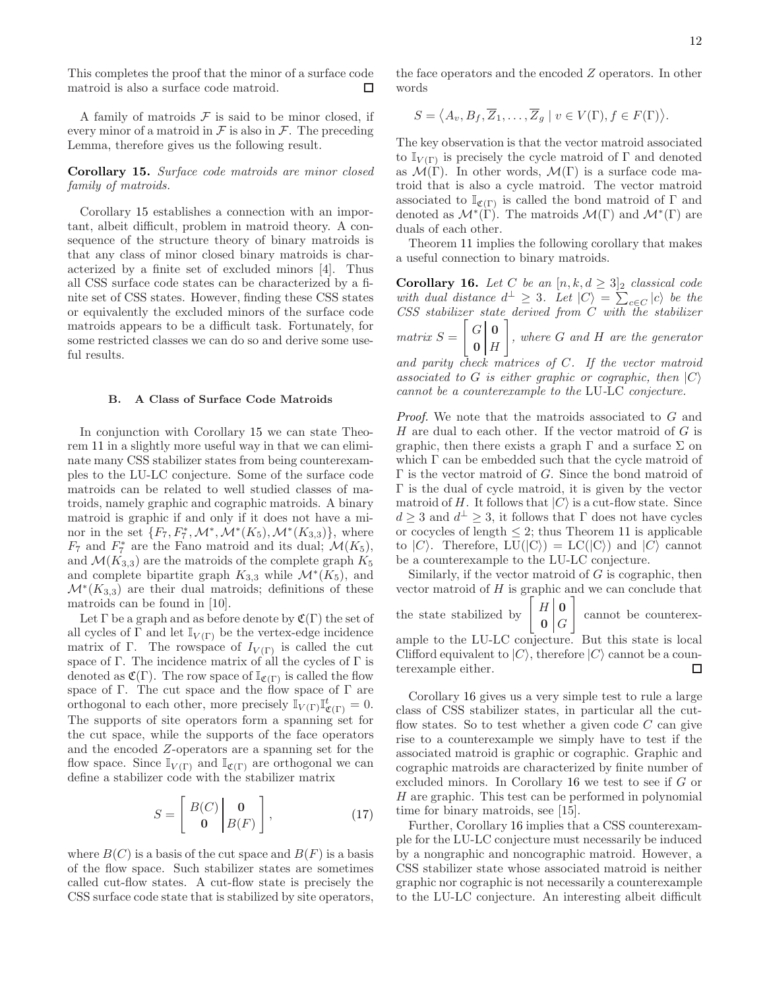This completes the proof that the minor of a surface code matroid is also a surface code matroid.  $\Box$ 

A family of matroids  $F$  is said to be minor closed, if every minor of a matroid in  $\mathcal F$  is also in  $\mathcal F$ . The preceding Lemma, therefore gives us the following result.

Corollary 15. Surface code matroids are minor closed family of matroids.

Corollary 15 establishes a connection with an important, albeit difficult, problem in matroid theory. A consequence of the structure theory of binary matroids is that any class of minor closed binary matroids is characterized by a finite set of excluded minors [4]. Thus all CSS surface code states can be characterized by a finite set of CSS states. However, finding these CSS states or equivalently the excluded minors of the surface code matroids appears to be a difficult task. Fortunately, for some restricted classes we can do so and derive some useful results.

## B. A Class of Surface Code Matroids

In conjunction with Corollary 15 we can state Theorem 11 in a slightly more useful way in that we can eliminate many CSS stabilizer states from being counterexamples to the LU-LC conjecture. Some of the surface code matroids can be related to well studied classes of matroids, namely graphic and cographic matroids. A binary matroid is graphic if and only if it does not have a minor in the set  $\{F_7, F_7^*, \mathcal{M}^*, \mathcal{M}^*(K_5), \mathcal{M}^*(K_{3,3})\}$ , where  $F_7$  and  $F_7^*$  are the Fano matroid and its dual;  $\mathcal{M}(K_5)$ , and  $\mathcal{M}(K_{3,3})$  are the matroids of the complete graph  $K_5$ and complete bipartite graph  $K_{3,3}$  while  $\mathcal{M}^*(K_5)$ , and  $\mathcal{M}^*(K_{3,3})$  are their dual matroids; definitions of these matroids can be found in [10].

Let  $\Gamma$  be a graph and as before denote by  $\mathfrak{C}(\Gamma)$  the set of all cycles of  $\Gamma$  and let  $\mathbb{I}_{V(\Gamma)}$  be the vertex-edge incidence matrix of Γ. The rowspace of  $I_{V(\Gamma)}$  is called the cut space of Γ. The incidence matrix of all the cycles of  $\Gamma$  is denoted as  $\mathfrak{C}(\Gamma)$ . The row space of  $\mathbb{I}_{\mathfrak{C}(\Gamma)}$  is called the flow space of  $\Gamma$ . The cut space and the flow space of  $\Gamma$  are orthogonal to each other, more precisely  $\mathbb{I}_{V(\Gamma)}\mathbb{I}_{\mathfrak{C}(\Gamma)}^t=0.$ The supports of site operators form a spanning set for the cut space, while the supports of the face operators and the encoded Z-operators are a spanning set for the flow space. Since  $\mathbb{I}_{V(\Gamma)}$  and  $\mathbb{I}_{\mathfrak{C}(\Gamma)}$  are orthogonal we can define a stabilizer code with the stabilizer matrix

$$
S = \begin{bmatrix} B(C) & \mathbf{0} \\ \mathbf{0} & B(F) \end{bmatrix}, \tag{17}
$$

where  $B(C)$  is a basis of the cut space and  $B(F)$  is a basis of the flow space. Such stabilizer states are sometimes called cut-flow states. A cut-flow state is precisely the CSS surface code state that is stabilized by site operators,

the face operators and the encoded Z operators. In other words

$$
S = \langle A_v, B_f, \overline{Z}_1, \dots, \overline{Z}_g \mid v \in V(\Gamma), f \in F(\Gamma) \rangle.
$$

The key observation is that the vector matroid associated to  $\mathbb{I}_{V(\Gamma)}$  is precisely the cycle matroid of  $\Gamma$  and denoted as  $\mathcal{M}(\Gamma)$ . In other words,  $\mathcal{M}(\Gamma)$  is a surface code matroid that is also a cycle matroid. The vector matroid associated to  $\mathbb{I}_{\mathfrak{C}(\Gamma)}$  is called the bond matroid of  $\Gamma$  and denoted as  $\mathcal{M}^*(\Gamma)$ . The matroids  $\mathcal{M}(\Gamma)$  and  $\mathcal{M}^*(\Gamma)$  are duals of each other.

Theorem 11 implies the following corollary that makes a useful connection to binary matroids.

Corollary 16. Let C be an  $[n, k, d \geq 3]_2$  classical code with dual distance  $d^{\perp} \geq 3$ . Let  $|C\rangle = \sum_{c \in C} |c\rangle$  be the CSS stabilizer state derived from C with the stabilizer  $matrix S =$  $\begin{bmatrix} G & 0 \end{bmatrix}$  $0 \mid H$ 1 , where G and H are the generator and parity check matrices of C. If the vector matroid associated to G is either graphic or cographic, then  $|C\rangle$ cannot be a counterexample to the LU-LC conjecture.

Proof. We note that the matroids associated to G and H are dual to each other. If the vector matroid of  $G$  is graphic, then there exists a graph  $\Gamma$  and a surface  $\Sigma$  on which  $\Gamma$  can be embedded such that the cycle matroid of  $\Gamma$  is the vector matroid of G. Since the bond matroid of Γ is the dual of cycle matroid, it is given by the vector matroid of H. It follows that  $|C\rangle$  is a cut-flow state. Since  $d \geq 3$  and  $d^{\perp} \geq 3$ , it follows that  $\Gamma$  does not have cycles or cocycles of length  $\leq$  2; thus Theorem 11 is applicable to  $|C\rangle$ . Therefore,  $LU(|C\rangle) = LC(|C\rangle)$  and  $|C\rangle$  cannot be a counterexample to the LU-LC conjecture.

Similarly, if the vector matroid of  $G$  is cographic, then vector matroid of  $H$  is graphic and we can conclude that the state stabilized by  $H<sub>0</sub>$  $0 \mid G$ 1 cannot be counterexample to the LU-LC conjecture. But this state is local Clifford equivalent to  $|C\rangle$ , therefore  $|C\rangle$  cannot be a coun-<br>terexample either. terexample either.

Corollary 16 gives us a very simple test to rule a large class of CSS stabilizer states, in particular all the cutflow states. So to test whether a given code  $C$  can give rise to a counterexample we simply have to test if the associated matroid is graphic or cographic. Graphic and cographic matroids are characterized by finite number of excluded minors. In Corollary 16 we test to see if G or H are graphic. This test can be performed in polynomial time for binary matroids, see [15].

Further, Corollary 16 implies that a CSS counterexample for the LU-LC conjecture must necessarily be induced by a nongraphic and noncographic matroid. However, a CSS stabilizer state whose associated matroid is neither graphic nor cographic is not necessarily a counterexample to the LU-LC conjecture. An interesting albeit difficult